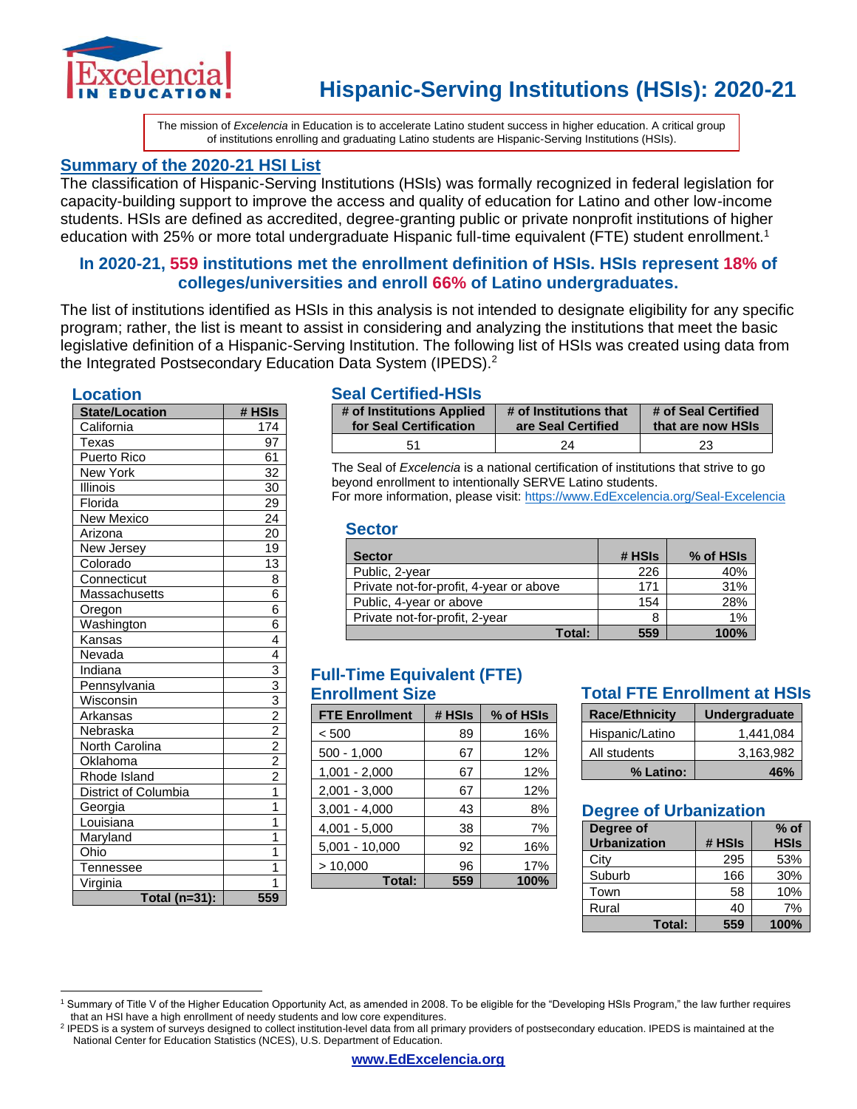

The mission of *Excelencia* in Education is to accelerate Latino student success in higher education. A critical group of institutions enrolling and graduating Latino students are Hispanic-Serving Institutions (HSIs).

### **Summary of the 2020-21 HSI List**

The classification of Hispanic-Serving Institutions (HSIs) was formally recognized in federal legislation for capacity-building support to improve the access and quality of education for Latino and other low-income students. HSIs are defined as accredited, degree-granting public or private nonprofit institutions of higher education with 25% or more total undergraduate Hispanic full-time equivalent (FTE) student enrollment.<sup>1</sup>

### **In 2020-21, 559 institutions met the enrollment definition of HSIs. HSIs represent 18% of colleges/universities and enroll 66% of Latino undergraduates.**

The list of institutions identified as HSIs in this analysis is not intended to designate eligibility for any specific program; rather, the list is meant to assist in considering and analyzing the institutions that meet the basic legislative definition of a Hispanic-Serving Institution. The following list of HSIs was created using data from the Integrated Postsecondary Education Data System (IPEDS).<sup>2</sup>

#### **Location**

| <b>State/Location</b> | # HSIs                                                                |
|-----------------------|-----------------------------------------------------------------------|
| California            | 174                                                                   |
| Texas                 | 97                                                                    |
| Puerto Rico           | 61                                                                    |
| New York              | 32                                                                    |
| Illinois              | 30                                                                    |
| Florida               | $\overline{29}$                                                       |
| <b>New Mexico</b>     | 24                                                                    |
| Arizona               | 20                                                                    |
| New Jersey            | 19                                                                    |
| Colorado              | 13                                                                    |
| Connecticut           | 8                                                                     |
| Massachusetts         | 6                                                                     |
| Oregon                | 6                                                                     |
| Washington            | 6                                                                     |
| Kansas                | 4                                                                     |
| Nevada                | 4                                                                     |
| Indiana               |                                                                       |
| Pennsylvania          |                                                                       |
| Wisconsin             |                                                                       |
| Arkansas              |                                                                       |
| Nebraska              |                                                                       |
| North Carolina        | $\frac{3}{3}$ $\frac{3}{2}$ $\frac{2}{2}$ $\frac{2}{2}$ $\frac{2}{1}$ |
| Oklahoma              |                                                                       |
| Rhode Island          |                                                                       |
| District of Columbia  |                                                                       |
| Georgia               | $\overline{1}$                                                        |
| Louisiana             | 1                                                                     |
| Maryland              | 1                                                                     |
| Ohio                  | 1                                                                     |
| Tennessee             | 1                                                                     |
| Virginia              | 1                                                                     |
| Total (n=31):         | 559                                                                   |

#### **Seal Certified-HSIs**

| # of Institutions Applied | # of Institutions that | # of Seal Certified |
|---------------------------|------------------------|---------------------|
| for Seal Certification    | are Seal Certified     | that are now HSIs   |
| 51                        | 24                     | 23                  |

The Seal of *Excelencia* is a national certification of institutions that strive to go beyond enrollment to intentionally SERVE Latino students. For more information, please visit: [https://www.EdExcelencia.org/Seal-Excelencia](https://www.edexcelencia.org/Seal-Excelencia)

#### **Sector**

| <b>Sector</b>                           | # HSIs | % of HSIs |
|-----------------------------------------|--------|-----------|
| Public, 2-year                          | 226    | 40%       |
| Private not-for-profit, 4-year or above | 171    | 31%       |
| Public, 4-year or above                 | 154    | 28%       |
| Private not-for-profit, 2-year          | 8      | 1%        |
| Total:                                  | 559    | 100%      |

### **Full-Time Equivalent (FTE) Enrollment Size**

| <b>FTE Enrollment</b> | # HSIs | % of HSIs |
|-----------------------|--------|-----------|
| < 500                 | 89     | 16%       |
| $500 - 1,000$         | 67     | 12%       |
| $1,001 - 2,000$       | 67     | 12%       |
| $2,001 - 3,000$       | 67     | 12%       |
| $3,001 - 4,000$       | 43     | 8%        |
| $4,001 - 5,000$       | 38     | 7%        |
| $5,001 - 10,000$      | 92     | 16%       |
| > 10,000              | 96     | 17%       |
| Total:                | 559    | 100%      |

### **Total FTE Enrollment at HSIs**

| <b>Race/Ethnicity</b> | <b>Undergraduate</b> |
|-----------------------|----------------------|
| Hispanic/Latino       | 1.441.084            |
| All students          | 3,163,982            |
| % Latino:             | 46%                  |

### **Degree of Urbanization**

| Degree of<br><b>Urbanization</b> | # HSIs | $%$ of<br><b>HSIs</b> |
|----------------------------------|--------|-----------------------|
| City                             | 295    | 53%                   |
| Suburb                           | 166    | 30%                   |
| Town                             | 58     | 10%                   |
| Rural                            | 40     | 7%                    |
| Total:                           | 559    | 100%                  |

<sup>1</sup> Summary of Title V of the Higher Education Opportunity Act, as amended in 2008. To be eligible for the "Developing HSIs Program," the law further requires that an HSI have a high enrollment of needy students and low core expenditures.

<sup>&</sup>lt;sup>2</sup> IPEDS is a system of surveys designed to collect institution-level data from all primary providers of postsecondary education. IPEDS is maintained at the National Center for Education Statistics (NCES), U.S. Department of Education.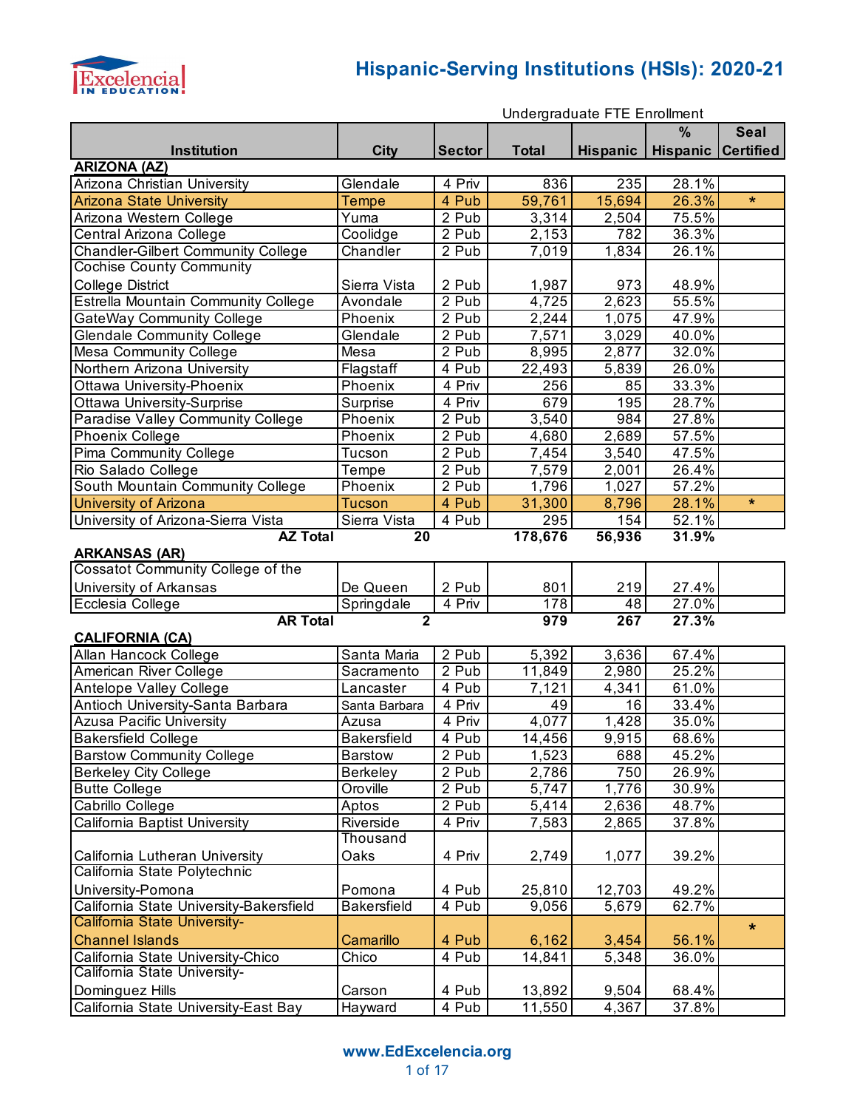

|                                           | Undergraduate FTE Enrollment |                    |              |                     |                           |             |
|-------------------------------------------|------------------------------|--------------------|--------------|---------------------|---------------------------|-------------|
|                                           |                              |                    |              |                     | $\%$                      | <b>Seal</b> |
| <b>Institution</b>                        | <b>City</b>                  | <b>Sector</b>      | <b>Total</b> | Hispanic            | <b>Hispanic Certified</b> |             |
| <b>ARIZONA (AZ)</b>                       |                              |                    |              |                     |                           |             |
| Arizona Christian University              | Glendale                     | 4 Priv             | 836          | 235                 | 28.1%                     |             |
| <b>Arizona State University</b>           | <b>Tempe</b>                 | 4 Pub              | 59,761       | 15,694              | 26.3%                     | $\star$     |
| Arizona Western College                   | Yuma                         | 2 Pub              | 3,314        | 2,504               | 75.5%                     |             |
| Central Arizona College                   | Coolidge                     | 2 Pub              | 2,153        | 782                 | 36.3%                     |             |
| <b>Chandler-Gilbert Community College</b> | Chandler                     | 2 Pub              | 7,019        | 1,834               | 26.1%                     |             |
| <b>Cochise County Community</b>           |                              |                    |              |                     |                           |             |
| <b>College District</b>                   | Sierra Vista                 | 2 Pub              | 1,987        | 973                 | 48.9%                     |             |
| Estrella Mountain Community College       | Avondale                     | $\overline{2}$ Pub | 4,725        | $\overline{2,6}$ 23 | 55.5%                     |             |
| <b>GateWay Community College</b>          | Phoenix                      | 2 Pub              | 2,244        | 1,075               | 47.9%                     |             |
| <b>Glendale Community College</b>         | Glendale                     | 2 Pub              | 7,571        | 3,029               | 40.0%                     |             |
| Mesa Community College                    | Mesa                         | 2 Pub              | 8,995        | 2,877               | 32.0%                     |             |
| Northern Arizona University               | Flagstaff                    | 4 Pub              | 22,493       | 5,839               | 26.0%                     |             |
| Ottawa University-Phoenix                 | Phoenix                      | 4 Priv             | 256          | 85                  | 33.3%                     |             |
| <b>Ottawa University-Surprise</b>         | Surprise                     | 4 Priv             | 679          | 195                 | 28.7%                     |             |
| Paradise Valley Community College         | Phoenix                      | 2 Pub              | 3,540        | 984                 | 27.8%                     |             |
| Phoenix College                           | Phoenix                      | 2 Pub              | 4,680        | 2,689               | 57.5%                     |             |
| Pima Community College                    | Tucson                       | 2 Pub              | 7,454        | 3,540               | 47.5%                     |             |
| Rio Salado College                        | Tempe                        | 2 Pub              | 7,579        | 2,001               | 26.4%                     |             |
| South Mountain Community College          | Phoenix                      | 2 Pub              | 1,796        | 1,027               | 57.2%                     |             |
| <b>University of Arizona</b>              | Tucson                       | 4 Pub              | 31,300       | 8,796               | 28.1%                     | $\star$     |
| University of Arizona-Sierra Vista        | Sierra Vista                 | 4 Pub              | 295          | 154                 | 52.1%                     |             |
| <b>AZ Total</b><br><b>ARKANSAS (AR)</b>   | 20                           |                    | 178,676      | 56,936              | 31.9%                     |             |
| Cossatot Community College of the         |                              |                    |              |                     |                           |             |
| University of Arkansas                    | De Queen                     | 2 Pub              | 801          | 219                 | 27.4%                     |             |
| Ecclesia College                          | Springdale                   | 4 Priv             | 178          | 48                  | 27.0%                     |             |
| <b>AR Total</b><br><b>CALIFORNIA (CA)</b> | $\overline{2}$               |                    | 979          | 267                 | 27.3%                     |             |
| Allan Hancock College                     | Santa Maria                  | 2 Pub              | 5,392        | 3,636               | 67.4%                     |             |
| American River College                    | Sacramento                   | 2 Pub              | 11,849       | 2,980               | 25.2%                     |             |
| Antelope Valley College                   | Lancaster                    | 4 Pub              | 7,121        | 4,341               | 61.0%                     |             |
| Antioch University-Santa Barbara          | Santa Barbara                | 4 Priv             | 49           | 16                  | 33.4%                     |             |
| <b>Azusa Pacific University</b>           | Azusa                        | 4 Priv             | 4,077        | 1,428               | 35.0%                     |             |
| <b>Bakersfield College</b>                | <b>Bakersfield</b>           | 4 Pub              | 14,456       | 9,915               | $68.6\%$                  |             |
| <b>Barstow Community College</b>          | <b>Barstow</b>               | 2 Pub              | 1,523        | 688                 | 45.2%                     |             |
| <b>Berkeley City College</b>              | <b>Berkeley</b>              | 2 Pub              | 2,786        | 750                 | 26.9%                     |             |
| <b>Butte College</b>                      | Oroville                     | 2 Pub              | 5,747        | 1,776               | 30.9%                     |             |
| Cabrillo College                          | Aptos                        | 2 Pub              | 5,414        | 2,636               | 48.7%                     |             |
| California Baptist University             | Riverside                    | 4 Priv             | 7,583        | 2,865               | 37.8%                     |             |
|                                           | Thousand                     |                    |              |                     |                           |             |
| California Lutheran University            | Oaks                         | 4 Priv             | 2,749        | 1,077               | 39.2%                     |             |
| California State Polytechnic              |                              |                    |              |                     |                           |             |
| University-Pomona                         | Pomona                       | 4 Pub              | 25,810       | 12,703              | 49.2%                     |             |
| California State University-Bakersfield   | <b>Bakersfield</b>           | 4 Pub              | 9,056        | 5,679               | 62.7%                     |             |
| California State University-              |                              |                    |              |                     |                           | $\star$     |
| <b>Channel Islands</b>                    | Camarillo                    | 4 Pub              | 6,162        | 3,454               | 56.1%                     |             |
| California State University-Chico         | Chico                        | 4 Pub              | 14,841       | 5,348               | 36.0%                     |             |
| California State University-              |                              |                    |              |                     |                           |             |
| Dominguez Hills                           | Carson                       | 4 Pub              | 13,892       | 9,504               | 68.4%                     |             |
| California State University-East Bay      | Hayward                      | 4 Pub              | 11,550       | 4,367               | 37.8%                     |             |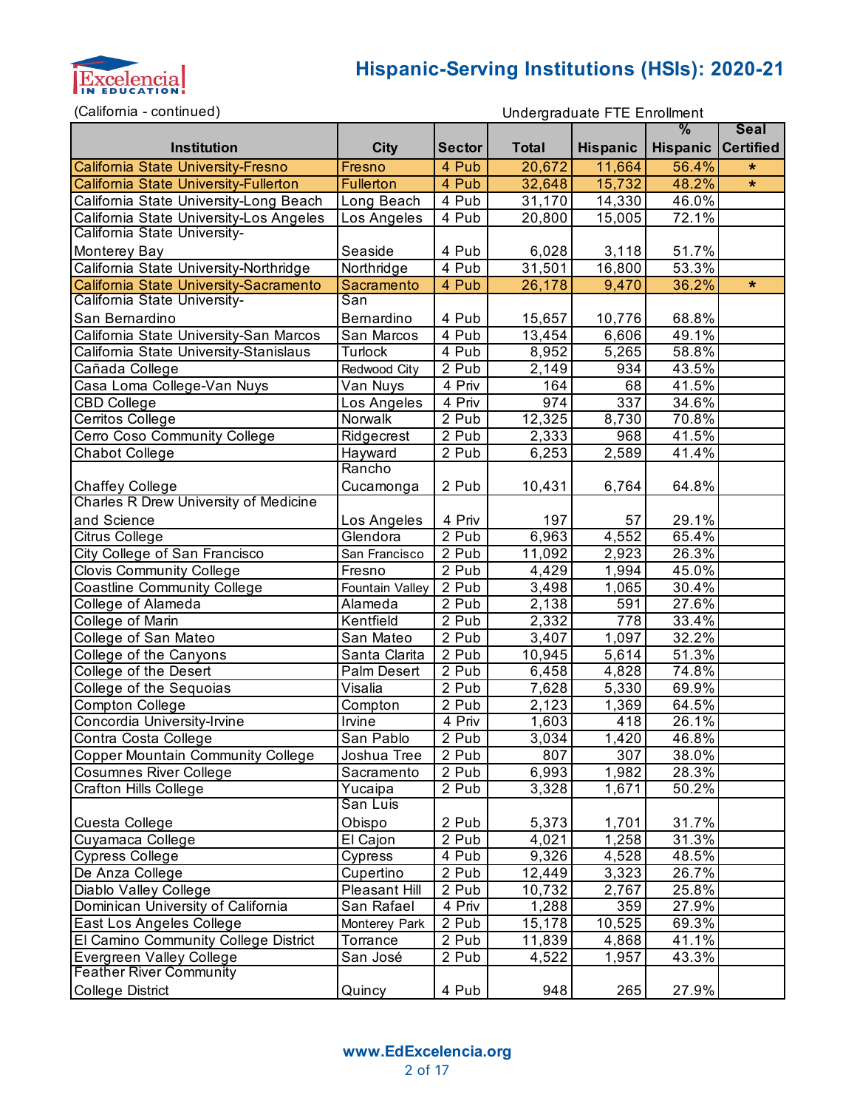

(California - continued)

|                                          |                  |                    |              |                 | $\frac{9}{6}$      | <b>Seal</b> |
|------------------------------------------|------------------|--------------------|--------------|-----------------|--------------------|-------------|
| Institution                              | <b>City</b>      | <b>Sector</b>      | <b>Total</b> | <b>Hispanic</b> | Hispanic Certified |             |
| California State University-Fresno       | Fresno           | 4 Pub              | 20,672       | 11,664          | 56.4%              | $\star$     |
| California State University-Fullerton    | <b>Fullerton</b> | 4 Pub              | 32,648       | 15,732          | 48.2%              | $\star$     |
| California State University-Long Beach   | Long Beach       | 4 Pub              | 31,170       | 14,330          | 46.0%              |             |
| California State University-Los Angeles  | Los Angeles      | $\overline{4}$ Pub | 20,800       | 15,005          | 72.1%              |             |
| California State University-             |                  |                    |              |                 |                    |             |
| Monterey Bay                             | Seaside          | 4 Pub              | 6,028        | 3,118           | 51.7%              |             |
| California State University-Northridge   | Northridge       | $\overline{4}$ Pub | 31,501       | 16,800          | 53.3%              |             |
| California State University-Sacramento   | Sacramento       | 4 Pub              | 26,178       | 9,470           | 36.2%              | *           |
| California State University-             | San              |                    |              |                 |                    |             |
| San Bernardino                           | Bernardino       | 4 Pub              | 15,657       | 10,776          | 68.8%              |             |
| California State University-San Marcos   | San Marcos       | 4 Pub              | 13,454       | 6,606           | 49.1%              |             |
| California State University-Stanislaus   | <b>Turlock</b>   | 4 Pub              | 8,952        | 5,265           | 58.8%              |             |
| Cañada College                           | Redwood City     | 2 Pub              | 2,149        | 934             | 43.5%              |             |
| Casa Loma College-Van Nuys               | Van Nuys         | 4 Priv             | 164          | 68              | 41.5%              |             |
| <b>CBD College</b>                       | Los Angeles      | 4 Priv             | 974          | 337             | 34.6%              |             |
| Cerritos College                         | Norwalk          | 2 Pub              | 12,325       | 8,730           | 70.8%              |             |
| Cerro Coso Community College             | Ridgecrest       | 2 Pub              | 2,333        | 968             | 41.5%              |             |
| <b>Chabot College</b>                    | Hayward          | 2 Pub              | 6,253        | 2,589           | 41.4%              |             |
|                                          | Rancho           |                    |              |                 |                    |             |
| <b>Chaffey College</b>                   | Cucamonga        | 2 Pub              | 10,431       | 6,764           | 64.8%              |             |
| Charles R Drew University of Medicine    |                  |                    |              |                 |                    |             |
| and Science                              | Los Angeles      | 4 Priv             | 197          | 57              | 29.1%              |             |
| Citrus College                           | Glendora         | 2 Pub              | 6,963        | 4,552           | 65.4%              |             |
| City College of San Francisco            | San Francisco    | 2 Pub              | 11,092       | 2,923           | 26.3%              |             |
| <b>Clovis Community College</b>          | Fresno           | 2 Pub              | 4,429        | 1,994           | 45.0%              |             |
| Coastline Community College              | Fountain Valley  | 2 Pub              | 3,498        | 1,065           | 30.4%              |             |
| College of Alameda                       | Alameda          | 2 Pub              | 2,138        | 591             | 27.6%              |             |
| College of Marin                         | Kentfield        | 2 Pub              | 2,332        | 778             | 33.4%              |             |
| College of San Mateo                     | San Mateo        | 2 Pub              | 3,407        | 1,097           | 32.2%              |             |
| College of the Canyons                   | Santa Clarita    | 2 Pub              | 10,945       | 5,614           | 51.3%              |             |
| College of the Desert                    | Palm Desert      | $2$ Pub            | 6,458        | 4,828           | 74.8%              |             |
| College of the Sequoias                  | Visalia          | $2$ Pub            | 7,628        | 5,330           | 69.9%              |             |
| Compton College                          | Compton          | 2 Pub              | 2,123        | 1,369           | 64.5%              |             |
| Concordia University-Irvine              | Irvine           | 4 Priv             | 1,603        | 418             | 26.1%              |             |
| Contra Costa College                     | San Pablo        | 2 Pub              | 3,034        | 1,420           | 46.8%              |             |
| <b>Copper Mountain Community College</b> | Joshua Tree      | 2 Pub              | 807          | 307             | 38.0%              |             |
| <b>Cosumnes River College</b>            | Sacramento       | 2 Pub              | 6,993        | 1,982           | 28.3%              |             |
| <b>Crafton Hills College</b>             | Yucaipa          | 2 Pub              | 3,328        | 1,671           | 50.2%              |             |
|                                          | San Luis         |                    |              |                 |                    |             |
| Cuesta College                           | Obispo           | 2 Pub              | 5,373        | 1,701           | 31.7%              |             |
| Cuyamaca College                         | El Cajon         | 2 Pub              | 4,021        | 1,258           | 31.3%              |             |
| Cypress College                          | Cypress          | 4 Pub              | 9,326        | 4,528           | 48.5%              |             |
| De Anza College                          | Cupertino        | 2 Pub              | 12,449       | 3,323           | 26.7%              |             |
| Diablo Valley College                    | Pleasant Hill    | 2 Pub              | 10,732       | 2,767           | 25.8%              |             |
| Dominican University of California       | San Rafael       | 4 Priv             | 1,288        | 359             | 27.9%              |             |
| East Los Angeles College                 | Monterey Park    | 2 Pub              | 15,178       | 10,525          | 69.3%              |             |
| El Camino Community College District     | Torrance         | $\overline{2}$ Pub | 11,839       | 4,868           | 41.1%              |             |
| Evergreen Valley College                 | San José         | 2 Pub              | 4,522        | 1,957           | 43.3%              |             |
| <b>Feather River Community</b>           |                  |                    |              |                 |                    |             |
| <b>College District</b>                  | Quincy           | 4 Pub              | 948          | 265             | 27.9%              |             |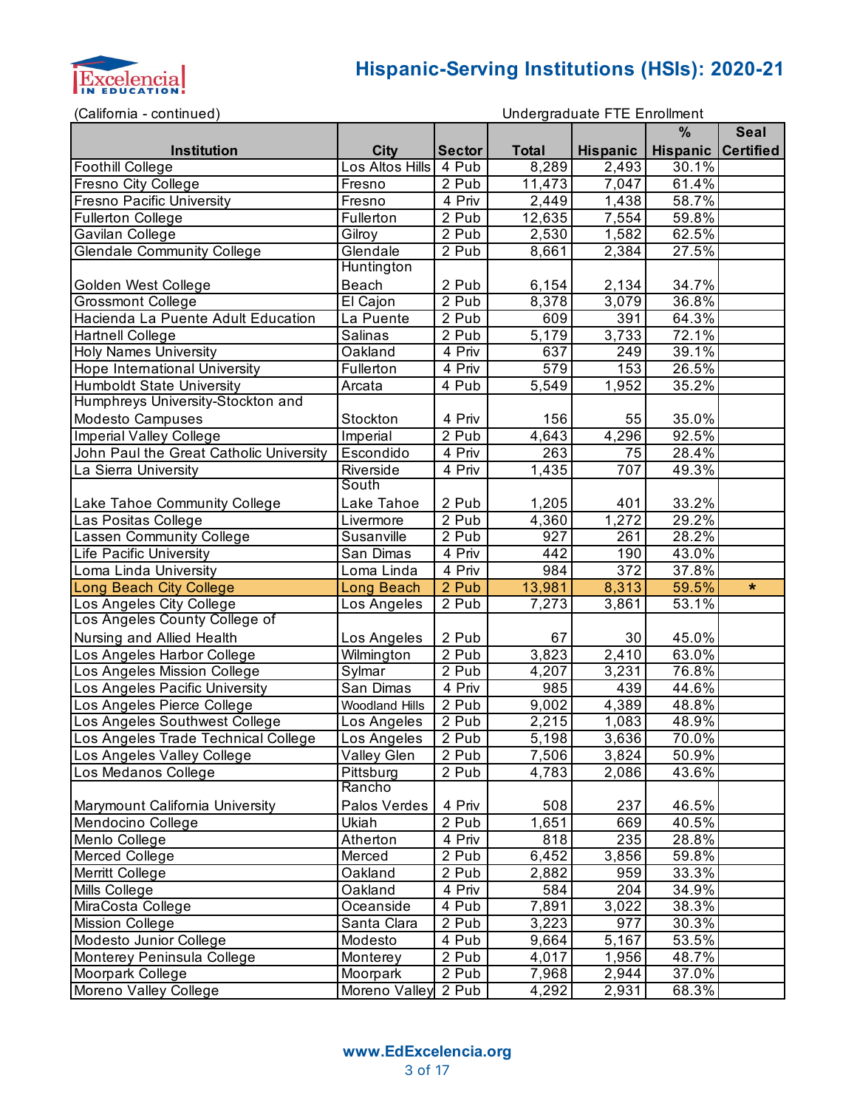

(California - continued)

```
Undergraduate FTE Enrollment
```

|                                                         |                                |                     |                    | $\sim$ ndorgradddio + + $\sim$ $\sim$ nnomnom. | $\frac{9}{6}$   | <b>Seal</b>      |
|---------------------------------------------------------|--------------------------------|---------------------|--------------------|------------------------------------------------|-----------------|------------------|
| Institution                                             |                                | <b>Sector</b>       | <b>Total</b>       |                                                | <b>Hispanic</b> | <b>Certified</b> |
|                                                         | <b>City</b><br>Los Altos Hills | 4 Pub               | 8,289              | <b>Hispanic</b><br>2,493                       | 30.1%           |                  |
| Foothill College                                        | Fresno                         | 2 Pub               | 11,473             | 7,047                                          | 61.4%           |                  |
| Fresno City College<br><b>Fresno Pacific University</b> |                                |                     | 2,449              |                                                | 58.7%           |                  |
|                                                         | Fresno                         | 4 Priv<br>2 Pub     | 12,635             | 1,438<br>7,554                                 | 59.8%           |                  |
| <b>Fullerton College</b>                                | Fullerton                      |                     |                    |                                                |                 |                  |
| Gavilan College                                         | Gilroy                         | 2 Pub               | 2,530              | 1,582                                          | 62.5%           |                  |
| <b>Glendale Community College</b>                       | Glendale<br><b>Huntington</b>  | 2 Pub               | 8,661              | 2,384                                          | 27.5%           |                  |
|                                                         |                                |                     |                    |                                                |                 |                  |
| Golden West College                                     | Beach                          | 2 Pub               | 6,154              | 2,134                                          | 34.7%           |                  |
| Grossmont College                                       | El Cajon                       | $2$ Pub             | 8,378              | 3,079                                          | 36.8%           |                  |
| Hacienda La Puente Adult Education                      | La Puente                      | 2 Pub               | 609                | 391                                            | 64.3%           |                  |
| <b>Hartnell College</b>                                 | Salinas                        | 2 Pub               | 5,179              | 3,733                                          | 72.1%           |                  |
| <b>Holy Names University</b>                            | Oakland                        | 4 Priv              | 637                | 249                                            | 39.1%           |                  |
| <b>Hope International University</b>                    | Fullerton                      | 4 Priv              | 579                | 153                                            | 26.5%           |                  |
| <b>Humboldt State University</b>                        | Arcata                         | 4 Pub               | 5,549              | 1,952                                          | 35.2%           |                  |
| Humphreys University-Stockton and                       |                                |                     |                    |                                                |                 |                  |
| <b>Modesto Campuses</b>                                 | Stockton                       | 4 Priv              | 156                | 55                                             | 35.0%           |                  |
| <b>Imperial Valley College</b>                          | Imperial                       | 2 Pub               | 4,643              | 4,296                                          | 92.5%           |                  |
| John Paul the Great Catholic University                 | Escondido                      | 4 Priv              | 263                | 75                                             | 28.4%           |                  |
| La Sierra University                                    | Riverside                      | $\overline{4}$ Priv | 1,435              | 707                                            | 49.3%           |                  |
|                                                         | South                          |                     |                    |                                                |                 |                  |
| Lake Tahoe Community College                            | Lake Tahoe                     | 2 Pub               | 1,205              | 401                                            | 33.2%           |                  |
| Las Positas College                                     | Livermore                      | 2 Pub               | 4,360              | 1,272                                          | 29.2%           |                  |
| Lassen Community College                                | Susanville                     | 2 Pub               | 927                | 261                                            | 28.2%           |                  |
| <b>Life Pacific University</b>                          | San Dimas                      | 4 Priv              | 442                | 190                                            | 43.0%           |                  |
| Loma Linda University                                   | Loma Linda                     | 4 Priv              | 984                | $\overline{372}$                               | 37.8%           |                  |
| Long Beach City College                                 | Long Beach                     | 2 Pub               | 13,981             | 8,313                                          | 59.5%           | $\ast$           |
| Los Angeles City College                                | Los Angeles                    | 2 Pub               | 7,273              | 3,861                                          | 53.1%           |                  |
| Los Angeles County College of                           |                                |                     |                    |                                                |                 |                  |
| Nursing and Allied Health                               | Los Angeles                    | 2 Pub               | 67                 | 30                                             | 45.0%           |                  |
| Los Angeles Harbor College                              | Wilmington                     | 2 Pub               | 3,823              | 2,410                                          | 63.0%           |                  |
| Los Angeles Mission College                             | Sylmar                         | 2 Pub               | 4,207              | 3,231                                          | 76.8%           |                  |
| Los Angeles Pacific University                          | San Dimas                      | 4 Priv              | 985                | 439                                            | 44.6%           |                  |
| Los Angeles Pierce College                              | <b>Woodland Hills</b>          | 2 Pub               | 9,002              | 4,389                                          | 48.8%           |                  |
| Los Angeles Southwest College                           | Los Angeles                    | 2 Pub               | 2,215              | 1,083                                          | 48.9%           |                  |
| Los Angeles Trade Technical College                     | Los Angeles                    | 2 Pub               | 5,198              | 3,636                                          | 70.0%           |                  |
| Los Angeles Valley College                              | Valley Glen                    | 2 Pub               | 7,506              | 3,824                                          | 50.9%           |                  |
| Los Medanos College                                     | Pittsburg                      | 2 Pub               | $\overline{4,783}$ | 2,086                                          | 43.6%           |                  |
|                                                         | Rancho                         |                     |                    |                                                |                 |                  |
| Marymount California University                         | Palos Verdes                   | 4 Priv              | 508                | 237                                            | 46.5%           |                  |
| Mendocino College                                       | Ukiah                          | 2 Pub               | 1,651              | 669                                            | 40.5%           |                  |
| Menlo College                                           | Atherton                       | 4 Priv              | 818                | 235                                            | 28.8%           |                  |
| Merced College                                          | Merced                         | 2 Pub               | 6,452              | 3,856                                          | 59.8%           |                  |
| Merritt College                                         | Oakland                        | 2 Pub               | $\overline{2,882}$ | 959                                            | 33.3%           |                  |
| Mills College                                           | Oakland                        | 4 Priv              | 584                | 204                                            | 34.9%           |                  |
| MiraCosta College                                       | Oceanside                      | 4 Pub               | 7,891              | 3,022                                          | 38.3%           |                  |
| <b>Mission College</b>                                  | Santa Clara                    | 2 Pub               | 3,223              | 977                                            | 30.3%           |                  |
| Modesto Junior College                                  | Modesto                        | 4 Pub               | 9,664              | 5,167                                          | 53.5%           |                  |
| Monterey Peninsula College                              | Monterey                       | 2 Pub               | 4,017              | 1,956                                          | 48.7%           |                  |
|                                                         | Moorpark                       | 2 Pub               | 7,968              | 2,944                                          | 37.0%           |                  |
| Moorpark College                                        |                                |                     |                    |                                                |                 |                  |
| Moreno Valley College                                   | Moreno Valley                  | 2 Pub               | 4,292              | 2,931                                          | 68.3%           |                  |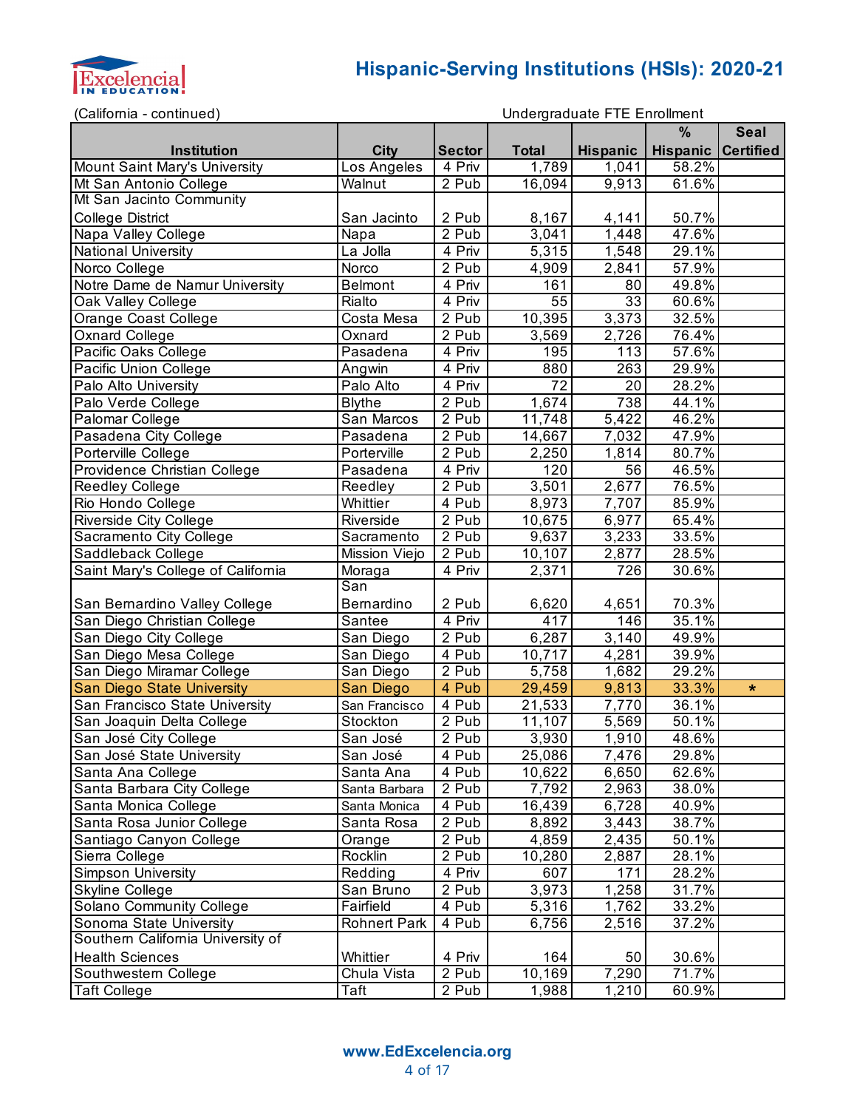

(California - continued)

```
Undergraduate FTE Enrollment
```

| Callionna continuou,               |                     |                     |                  | onaoigiadadlo i TE Enformont | $\%$               |             |
|------------------------------------|---------------------|---------------------|------------------|------------------------------|--------------------|-------------|
|                                    |                     |                     |                  |                              |                    | <b>Seal</b> |
| Institution                        | <b>City</b>         | <b>Sector</b>       | <b>Total</b>     | <b>Hispanic</b>              | Hispanic Certified |             |
| Mount Saint Mary's University      | Los Angeles         | 4 Priv              | 1,789            | 1,041                        | 58.2%              |             |
| Mt San Antonio College             | Walnut              | $2$ Pub             | 16,094           | 9,913                        | 61.6%              |             |
| Mt San Jacinto Community           |                     |                     |                  |                              |                    |             |
| <b>College District</b>            | San Jacinto         | 2 Pub               | 8,167            | 4,141                        | 50.7%              |             |
| Napa Valley College                | Napa                | 2 Pub               | 3,041            | 1,448                        | 47.6%              |             |
| <b>National University</b>         | La Jolla            | 4 Priv              | 5,315            | 1,548                        | 29.1%              |             |
| Norco College                      | Norco               | 2 Pub               | 4,909            | $\overline{2,841}$           | 57.9%              |             |
| Notre Dame de Namur University     | <b>Belmont</b>      | $\overline{4}$ Priv | 161              | 80                           | 49.8%              |             |
| Oak Valley College                 | Rialto              | $\overline{4}$ Priv | 55               | 33                           | 60.6%              |             |
| Orange Coast College               | Costa Mesa          | 2 Pub               | 10,395           | 3,373                        | 32.5%              |             |
| Oxnard College                     | Oxnard              | 2 Pub               | 3,569            | 2,726                        | 76.4%              |             |
| Pacific Oaks College               | Pasadena            | $\overline{4}$ Priv | 195              | 113                          | 57.6%              |             |
| Pacific Union College              | Angwin              | 4 Priv              | 880              | 263                          | 29.9%              |             |
| Palo Alto University               | Palo Alto           | $\overline{4}$ Priv | 72               | 20                           | 28.2%              |             |
| Palo Verde College                 | <b>Blythe</b>       | 2 Pub               | 1,674            | 738                          | 44.1%              |             |
| Palomar College                    | San Marcos          | 2 Pub               | 11,748           | $\sqrt{5,422}$               | 46.2%              |             |
| Pasadena City College              | Pasadena            | 2 Pub               | 14,667           | 7,032                        | 47.9%              |             |
| Porterville College                | Porterville         | 2 Pub               | 2,250            | 1,814                        | 80.7%              |             |
| Providence Christian College       | Pasadena            | $\overline{4}$ Priv | $\overline{1}20$ | $\overline{56}$              | 46.5%              |             |
| Reedley College                    | Reedley             | 2 Pub               | 3,501            | 2,677                        | 76.5%              |             |
| Rio Hondo College                  | Whittier            | $\overline{4}$ Pub  | 8,973            | 7,707                        | 85.9%              |             |
| Riverside City College             | Riverside           | $2$ Pub             | 10,675           | 6,977                        | 65.4%              |             |
| Sacramento City College            | Sacramento          | 2 Pub               | 9,637            | 3,233                        | 33.5%              |             |
| Saddleback College                 | Mission Viejo       | 2 Pub               | 10,107           | 2,877                        | 28.5%              |             |
| Saint Mary's College of California | Moraga              | 4 Priv              | 2,371            | 726                          | 30.6%              |             |
|                                    | San                 |                     |                  |                              |                    |             |
| San Bernardino Valley College      | Bernardino          | 2 Pub               | 6,620            | 4,651                        | 70.3%              |             |
| San Diego Christian College        | Santee              | 4 Priv              | $\overline{4}17$ | 146                          | 35.1%              |             |
| San Diego City College             | San Diego           | $\overline{2}$ Pub  | 6,287            | 3,140                        | 49.9%              |             |
| San Diego Mesa College             | San Diego           | 4 Pub               | 10,717           | 4,281                        | 39.9%              |             |
| San Diego Miramar College          | San Diego           | 2 Pub               | 5,758            | 1,682                        | 29.2%              |             |
| San Diego State University         | San Diego           | 4 Pub               | 29,459           | 9,813                        | 33.3%              | $\star$     |
| San Francisco State University     | San Francisco       | $4$ Pub             | 21,533           | 7,770                        | 36.1%              |             |
| San Joaquin Delta College          | Stockton            | 2 Pub               | 11,107           | 5,569                        | 50.1%              |             |
| San José City College              | San José            | 2 Pub               | 3,930            | 1,910                        | 48.6%              |             |
| San José State University          | San José            | 4 Pub               | 25,086           | 7,476                        | 29.8%              |             |
| Santa Ana College                  | Santa Ana           | 4 Pub               | 10,622           | 6,650                        | 62.6%              |             |
| Santa Barbara City College         | Santa Barbara       | 2 Pub               | 7,792            | 2,963                        | 38.0%              |             |
| Santa Monica College               | Santa Monica        | 4 Pub               | 16,439           | 6,728                        | 40.9%              |             |
| Santa Rosa Junior College          | Santa Rosa          | 2 Pub               | 8,892            | 3,443                        | 38.7%              |             |
| Santiago Canyon College            | Orange              | 2 Pub               | 4,859            | 2,435                        | 50.1%              |             |
| Sierra College                     | Rocklin             | 2 Pub               | 10,280           | 2,887                        | 28.1%              |             |
| Simpson University                 | Redding             | 4 Priv              | 607              | 171                          | 28.2%              |             |
| Skyline College                    | San Bruno           | 2 Pub               | 3,973            | 1,258                        | 31.7%              |             |
| Solano Community College           | Fairfield           | 4 Pub               | 5,316            | 1,762                        | 33.2%              |             |
| Sonoma State University            | <b>Rohnert Park</b> | 4 Pub               | 6,756            | 2,516                        | 37.2%              |             |
| Southern California University of  |                     |                     |                  |                              |                    |             |
| <b>Health Sciences</b>             | Whittier            | 4 Priv              | 164              | 50                           | 30.6%              |             |
| Southwestern College               | Chula Vista         | 2 Pub               | 10,169           | 7,290                        | 71.7%              |             |
| <b>Taft College</b>                | Taft                | 2 Pub               | 1,988            | 1,210                        | 60.9%              |             |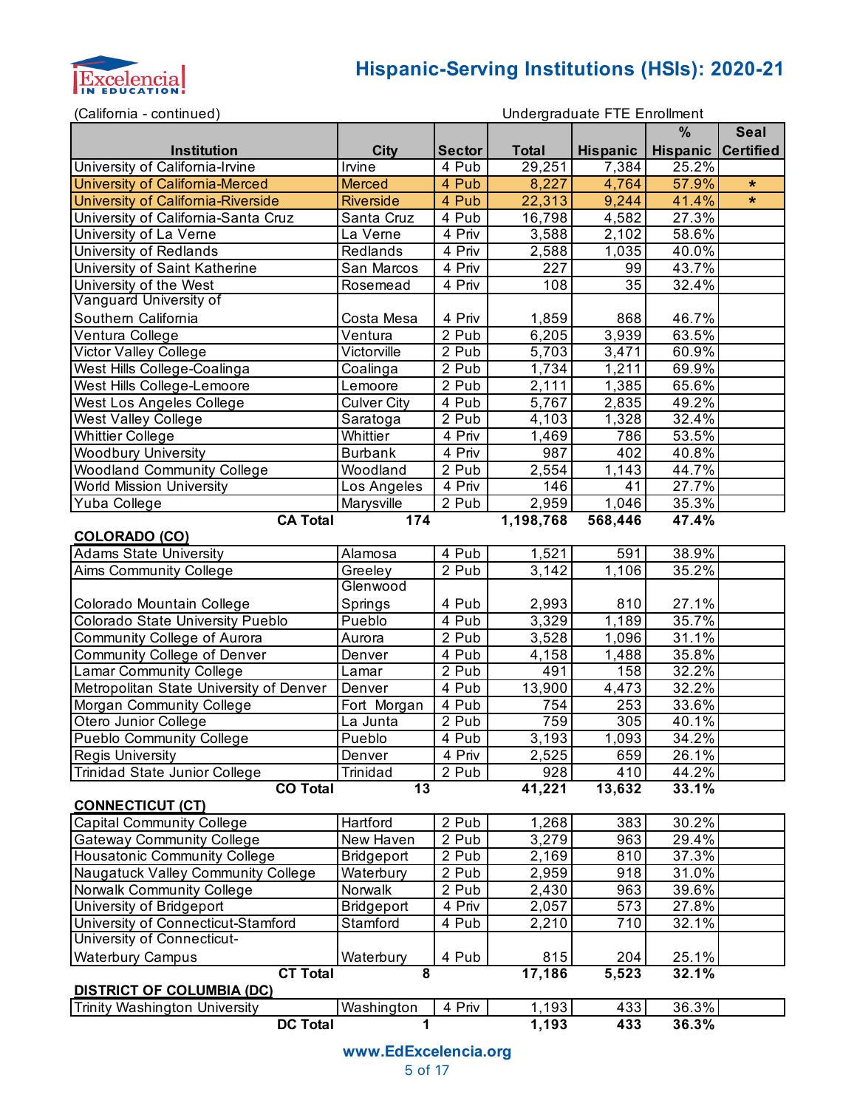

(California - continued)

|                                         |                    |                    |              |                    | %               | <b>Seal</b>      |
|-----------------------------------------|--------------------|--------------------|--------------|--------------------|-----------------|------------------|
| <b>Institution</b>                      | <b>City</b>        | Sector             | <b>Total</b> | <b>Hispanic</b>    | <b>Hispanic</b> | <b>Certified</b> |
| University of California-Irvine         | Irvine             | 4 Pub              | 29,251       | 7,384              | 25.2%           |                  |
| University of California-Merced         | <b>Merced</b>      | 4 Pub              | 8,227        | 4,764              | 57.9%           | $\star$          |
| University of California-Riverside      | <b>Riverside</b>   | 4 Pub              | 22,313       | 9,244              | 41.4%           | $\star$          |
| University of California-Santa Cruz     | Santa Cruz         | 4 Pub              | 16,798       | 4,582              | 27.3%           |                  |
| University of La Verne                  | La Verne           | 4 Priv             | 3,588        | 2,102              | 58.6%           |                  |
| University of Redlands                  | Redlands           | 4 Priv             | 2,588        | 1,035              | 40.0%           |                  |
| University of Saint Katherine           | San Marcos         | 4 Priv             | 227          | 99                 | 43.7%           |                  |
| University of the West                  | Rosemead           | 4 Priv             | 108          | $\overline{35}$    | 32.4%           |                  |
| Vanguard University of                  |                    |                    |              |                    |                 |                  |
| Southern California                     | Costa Mesa         | 4 Priv             | 1,859        | 868                | 46.7%           |                  |
| Ventura College                         | Ventura            | 2 Pub              | 6,205        | 3,939              | 63.5%           |                  |
| Victor Valley College                   | Victorville        | 2 Pub              | 5,703        | 3,471              | 60.9%           |                  |
| West Hills College-Coalinga             | Coalinga           | 2 Pub              | 1,734        | 1,211              | 69.9%           |                  |
| West Hills College-Lemoore              | Lemoore            | 2 Pub              | 2,111        | 1,385              | 65.6%           |                  |
| West Los Angeles College                | <b>Culver City</b> | 4 Pub              | 5,767        | 2,835              | 49.2%           |                  |
| <b>West Valley College</b>              | Saratoga           | 2 Pub              | 4,103        | 1,328              | 32.4%           |                  |
| <b>Whittier College</b>                 | Whittier           | 4 Priv             | 1,469        | 786                | 53.5%           |                  |
| <b>Woodbury University</b>              | <b>Burbank</b>     | 4 Priv             | 987          | 402                | 40.8%           |                  |
| <b>Woodland Community College</b>       | Woodland           | 2 Pub              | 2,554        | 1,143              | 44.7%           |                  |
| <b>World Mission University</b>         | Los Angeles        | 4 Priv             | 146          | 41                 | 27.7%           |                  |
| Yuba College                            | Marysville         | 2 Pub              | 2,959        | 1,046              | 35.3%           |                  |
| <b>CA Total</b>                         | 174                |                    | 1,198,768    | 568,446            | 47.4%           |                  |
| <b>COLORADO (CO)</b>                    |                    |                    |              |                    |                 |                  |
| <b>Adams State University</b>           | Alamosa            | 4 Pub              | 1,521        | 591                | 38.9%           |                  |
| Aims Community College                  | Greeley            | 2 Pub              | 3,142        | $\overline{1,}106$ | 35.2%           |                  |
|                                         | Glenwood           |                    |              |                    |                 |                  |
| Colorado Mountain College               | Springs            | 4 Pub              | 2,993        | 810                | 27.1%           |                  |
| Colorado State University Pueblo        | Pueblo             | $\overline{4}$ Pub | 3,329        | 1,189              | 35.7%           |                  |
| Community College of Aurora             | Aurora             | 2 Pub              | 3,528        | 1,096              | 31.1%           |                  |
| <b>Community College of Denver</b>      | Denver             | 4 Pub              | 4,158        | 1,488              | 35.8%           |                  |
| <b>Lamar Community College</b>          | Lamar              | 2 Pub              | 491          | 158                | 32.2%           |                  |
| Metropolitan State University of Denver | Denver             | 4 Pub              | 13,900       | 4,473              | 32.2%           |                  |
| Morgan Community College                | Fort Morgan        | 4 Pub              | 754          | 253                | 33.6%           |                  |
| Otero Junior College                    | La Junta           | 2 Pub              | 759          | 305                | $40.1\%$        |                  |
| <b>Pueblo Community College</b>         | Pueblo             | 4 Pub              | 3,193        | 1,093              | 34.2%           |                  |
| <b>Regis University</b>                 | Denver             | 4 Priv             | 2,525        | 659                | 26.1%           |                  |
| <b>Trinidad State Junior College</b>    | Trinidad           | 2 Pub              | 928          | 410                | 44.2%           |                  |
| <b>CO Total</b>                         | 13                 |                    | 41,221       | 13,632             | 33.1%           |                  |
| <b>CONNECTICUT (CT)</b>                 |                    |                    |              |                    |                 |                  |
| Capital Community College               | Hartford           | 2 Pub              | 1,268        | 383                | 30.2%           |                  |
| <b>Gateway Community College</b>        | New Haven          | 2 Pub              | 3,279        | 963                | 29.4%           |                  |
| Housatonic Community College            | Bridgeport         | 2 Pub              | 2,169        | 810                | 37.3%           |                  |
| Naugatuck Valley Community College      | Waterbury          | 2 Pub              | 2,959        | 918                | 31.0%           |                  |
| Norwalk Community College               | Norwalk            | 2 Pub              | 2,430        | 963                | 39.6%           |                  |
| University of Bridgeport                | Bridgeport         | 4 Priv             | 2,057        | 573                | 27.8%           |                  |
| University of Connecticut-Stamford      | Stamford           | 4 Pub              | 2,210        | 710                | 32.1%           |                  |
| University of Connecticut-              |                    |                    |              |                    |                 |                  |
| <b>Waterbury Campus</b>                 | Waterbury          | 4 Pub              | 815          | 204                | 25.1%           |                  |
| <b>CT Total</b>                         | 8                  |                    | 17,186       | 5,523              | 32.1%           |                  |
| <b>DISTRICT OF COLUMBIA (DC)</b>        |                    |                    |              |                    |                 |                  |
| <b>Trinity Washington University</b>    | Washington         | 4 Priv             | 1,193        | 433                | 36.3%           |                  |
| <b>DC Total</b>                         | 1                  |                    | 1,193        | 433                | 36.3%           |                  |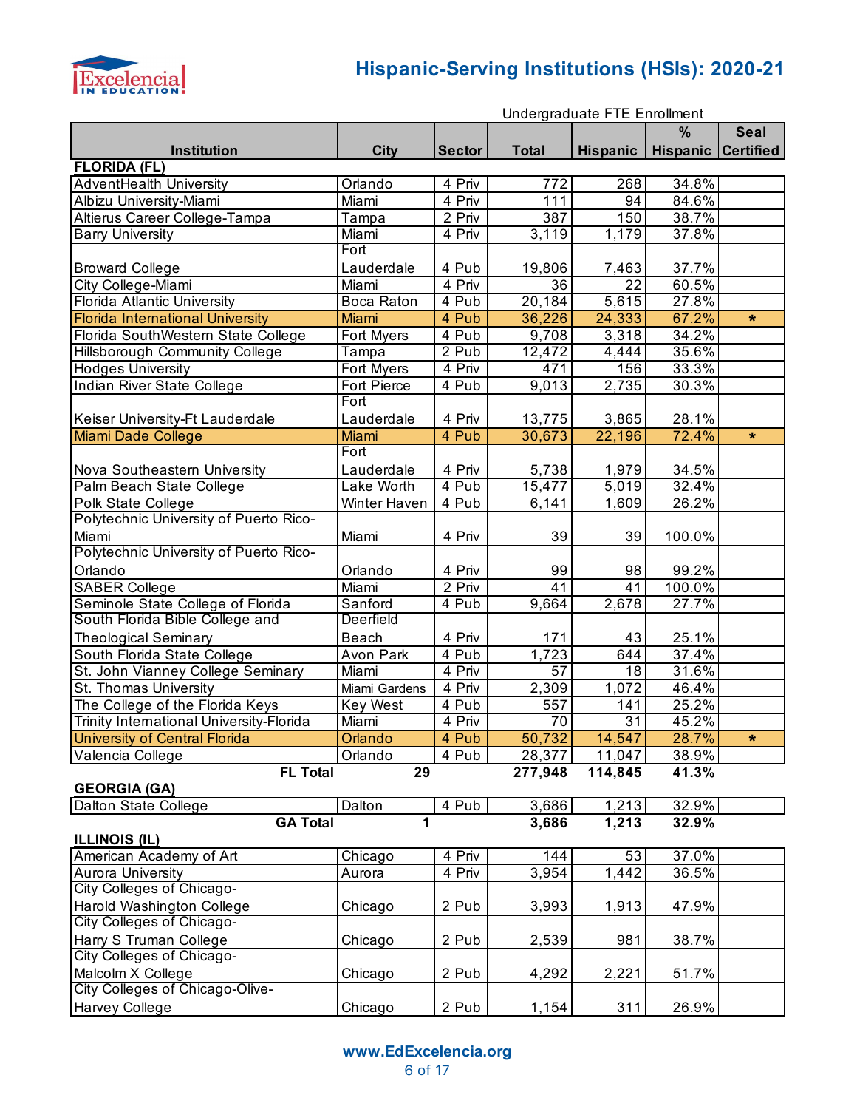

|                                                            | Undergraduate FTE Enrollment |                    |                  |                 |                           |             |
|------------------------------------------------------------|------------------------------|--------------------|------------------|-----------------|---------------------------|-------------|
|                                                            |                              |                    |                  |                 | %                         | <b>Seal</b> |
| Institution                                                | <b>City</b>                  | <b>Sector</b>      | <b>Total</b>     | <b>Hispanic</b> | <b>Hispanic Certified</b> |             |
| <b>FLORIDA (FL)</b>                                        |                              |                    |                  |                 |                           |             |
| <b>AdventHealth University</b>                             | Orlando                      | 4 Priv             | 772              | 268             | 34.8%                     |             |
| Albizu University-Miami                                    | Miami                        | 4 Priv             | $\overline{1}11$ | 94              | 84.6%                     |             |
| Altierus Career College-Tampa                              | Tampa                        | 2 Priv             | 387              | 150             | 38.7%                     |             |
| <b>Barry University</b>                                    | Miami                        | 4 Priv             | 3,119            | 1,179           | 37.8%                     |             |
|                                                            | Fort                         |                    |                  |                 |                           |             |
| <b>Broward College</b>                                     | Lauderdale                   | 4 Pub              | 19,806           | 7,463           | 37.7%                     |             |
| City College-Miami                                         | Miami                        | 4 Priv             | 36               | 22              | 60.5%                     |             |
| Florida Atlantic University                                | Boca Raton                   | 4 Pub              | 20,184           | 5,615           | 27.8%                     |             |
| <b>Florida International University</b>                    | Miami                        | 4 Pub              | 36,226           | 24,333          | 67.2%                     | $\star$     |
| Florida SouthWestern State College                         | Fort Myers                   | $\overline{4}$ Pub | 9,708            | 3,318           | 34.2%                     |             |
| Hillsborough Community College                             | Tampa                        | 2 Pub              | 12,472           | 4,444           | 35.6%                     |             |
| <b>Hodges University</b>                                   | Fort Myers                   | 4 Priv             | 471              | 156             | 33.3%                     |             |
| Indian River State College                                 | Fort Pierce                  | 4 Pub              | 9,013            | 2,735           | 30.3%                     |             |
|                                                            | Fort                         |                    |                  |                 |                           |             |
| Keiser University-Ft Lauderdale                            | Lauderdale                   | 4 Priv             | 13,775           | 3,865           | 28.1%                     |             |
| Miami Dade College                                         | Miami                        | 4 Pub              | 30,673           | 22,196          | 72.4%                     | $\star$     |
|                                                            | Fort                         |                    |                  |                 |                           |             |
| Nova Southeastern University                               | Lauderdale                   | 4 Priv             | 5,738            | 1,979           | 34.5%                     |             |
| Palm Beach State College                                   | Lake Worth                   | 4 Pub              | 15,477           | 5,019           | 32.4%                     |             |
| Polk State College                                         | Winter Haven                 | 4 Pub              | 6,141            | 1,609           | 26.2%                     |             |
| Polytechnic University of Puerto Rico-                     |                              |                    |                  |                 |                           |             |
| Miami                                                      | Miami                        | 4 Priv             | 39               | 39              | 100.0%                    |             |
| Polytechnic University of Puerto Rico-                     |                              |                    |                  |                 |                           |             |
| Orlando                                                    | Orlando                      | 4 Priv             | 99               | 98              | 99.2%                     |             |
| <b>SABER College</b>                                       | Miami                        | 2 Priv             | 41               | 41              | 100.0%                    |             |
| Seminole State College of Florida                          | Sanford                      | 4 Pub              | 9,664            | 2,678           | 27.7%                     |             |
| South Florida Bible College and                            | Deerfield                    |                    |                  |                 |                           |             |
| <b>Theological Seminary</b>                                | Beach                        | 4 Priv             | 171              | 43              | 25.1%                     |             |
| South Florida State College                                | Avon Park                    | 4 Pub              | 1,723            | 644             | 37.4%                     |             |
| St. John Vianney College Seminary                          | Miami                        | 4 Priv             | 57               | 18              | 31.6%                     |             |
| St. Thomas University                                      | Miami Gardens                | 4 Priv             | 2,309            | 1,072           | 46.4%                     |             |
| The College of the Florida Keys                            | <b>Key West</b>              | 4 Pub              | 557              | 141             | 25.2%                     |             |
| Trinity International University-Florida                   | Miami                        | 4 Priv             | 70               | $\overline{31}$ | 45.2%                     |             |
| <b>University of Central Florida</b>                       | Orlando                      | 4 Pub              | 50,732           | 14,547          | 28.7%                     | *           |
| Valencia College                                           | Orlando                      | 4 Pub              | 28,377           | 11,047          | 38.9%                     |             |
| <b>FL Total</b>                                            | 29                           |                    | 277,948          | 114,845         | 41.3%                     |             |
| <b>GEORGIA (GA)</b>                                        |                              |                    |                  |                 |                           |             |
| Dalton State College                                       | Dalton                       | 4 Pub              | 3,686            | 1,213           | 32.9%                     |             |
| <b>GA Total</b>                                            | 1                            |                    | 3,686            | 1,213           | 32.9%                     |             |
| <b>ILLINOIS (IL)</b>                                       |                              |                    |                  |                 |                           |             |
| American Academy of Art                                    |                              | 4 Priv             | 144              | 53              | 37.0%                     |             |
| <b>Aurora University</b>                                   | Chicago                      | 4 Priv             | 3,954            | 1,442           | 36.5%                     |             |
| City Colleges of Chicago-                                  | Aurora                       |                    |                  |                 |                           |             |
| Harold Washington College                                  |                              | 2 Pub              |                  |                 |                           |             |
| City Colleges of Chicago-                                  | Chicago                      |                    | 3,993            | 1,913           | 47.9%                     |             |
|                                                            |                              |                    |                  |                 |                           |             |
| Harry S Truman College<br><b>City Colleges of Chicago-</b> | Chicago                      | 2 Pub              | 2,539            | 981             | 38.7%                     |             |
|                                                            |                              |                    |                  |                 |                           |             |
| Malcolm X College<br>City Colleges of Chicago-Olive-       | Chicago                      | 2 Pub              | 4,292            | 2,221           | 51.7%                     |             |
|                                                            |                              |                    |                  |                 |                           |             |
| Harvey College                                             | Chicago                      | 2 Pub              | 1,154            | 311             | 26.9%                     |             |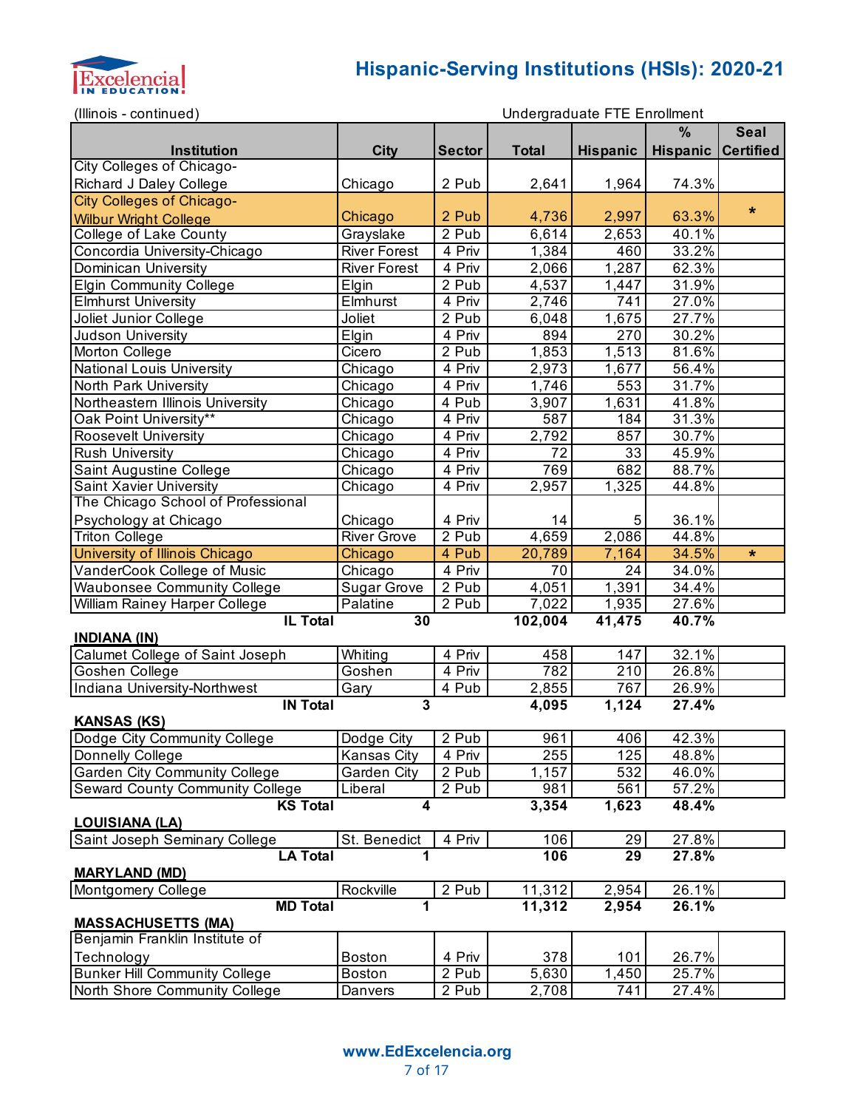

| (Illinois - continued)                 |                     |               |              | Undergraduate FTE Enrollment |                    |             |
|----------------------------------------|---------------------|---------------|--------------|------------------------------|--------------------|-------------|
|                                        |                     |               |              |                              | %                  | <b>Seal</b> |
| <b>Institution</b>                     | <b>City</b>         | <b>Sector</b> | <b>Total</b> | <b>Hispanic</b>              | Hispanic Certified |             |
| City Colleges of Chicago-              |                     |               |              |                              |                    |             |
| Richard J Daley College                | Chicago             | 2 Pub         | 2,641        | 1,964                        | 74.3%              |             |
| <b>City Colleges of Chicago-</b>       |                     |               |              |                              |                    |             |
| <b>Wilbur Wright College</b>           | Chicago             | 2 Pub         | 4,736        | 2,997                        | 63.3%              | $\star$     |
| College of Lake County                 | Grayslake           | 2 Pub         | 6,614        | 2,653                        | 40.1%              |             |
| Concordia University-Chicago           | <b>River Forest</b> | 4 Priv        | 1,384        | 460                          | 33.2%              |             |
| Dominican University                   | <b>River Forest</b> | 4 Priv        | 2,066        | 1,287                        | 62.3%              |             |
| <b>Elgin Community College</b>         | Elgin               | 2 Pub         | 4,537        | 1,447                        | 31.9%              |             |
| <b>Elmhurst University</b>             | Elmhurst            | 4 Priv        | 2,746        | 741                          | 27.0%              |             |
| Joliet Junior College                  | Joliet              | 2 Pub         | 6,048        | 1,675                        | 27.7%              |             |
| Judson University                      | Elgin               | 4 Priv        | 894          | 270                          | 30.2%              |             |
| Morton College                         | Cicero              | 2 Pub         | 1,853        | 1,513                        | 81.6%              |             |
| <b>National Louis University</b>       | Chicago             | 4 Priv        | 2,973        | 1,677                        | 56.4%              |             |
| North Park University                  | Chicago             | 4 Priv        | 1,746        | 553                          | 31.7%              |             |
| Northeastern Illinois University       | Chicago             | 4 Pub         | 3,907        | $\overline{1,631}$           | 41.8%              |             |
| Oak Point University**                 | Chicago             | 4 Priv        | 587          | 184                          | 31.3%              |             |
| <b>Roosevelt University</b>            |                     | 4 Priv        | 2,792        | 857                          | 30.7%              |             |
|                                        | Chicago             |               | 72           |                              |                    |             |
| <b>Rush University</b>                 | Chicago             | 4 Priv        |              | 33                           | 45.9%              |             |
| Saint Augustine College                | Chicago             | 4 Priv        | 769          | 682                          | 88.7%              |             |
| Saint Xavier University                | Chicago             | 4 Priv        | 2,957        | 1,325                        | 44.8%              |             |
| The Chicago School of Professional     |                     |               |              |                              |                    |             |
| Psychology at Chicago                  | Chicago             | 4 Priv        | 14           | 5                            | 36.1%              |             |
| <b>Triton College</b>                  | <b>River Grove</b>  | 2 Pub         | 4,659        | 2,086                        | 44.8%              |             |
| University of Illinois Chicago         | Chicago             | 4 Pub         | 20,789       | 7,164                        | 34.5%              | $\star$     |
| VanderCook College of Music            | Chicago             | 4 Priv        | 70           | 24                           | 34.0%              |             |
| <b>Waubonsee Community College</b>     | <b>Sugar Grove</b>  | 2 Pub         | 4,051        | 1,391                        | 34.4%              |             |
| William Rainey Harper College          | Palatine            | 2 Pub         | 7,022        | 1,935                        | 27.6%              |             |
| <b>IL Total</b>                        | 30                  |               | 102,004      | 41,475                       | 40.7%              |             |
| <b>INDIANA (IN)</b>                    |                     |               |              |                              |                    |             |
| Calumet College of Saint Joseph        | Whiting             | 4 Priv        | 458          | 147                          | 32.1%              |             |
| Goshen College                         | Goshen              | 4 Priv        | 782          | 210                          | 26.8%              |             |
| Indiana University-Northwest           | Gary<br>3           | 4 Pub         | 2,855        | 767                          | 26.9%              |             |
| <b>IN Total</b><br><b>KANSAS (KS)</b>  |                     |               | 4,095        | 1,124                        | 27.4%              |             |
| Dodge City Community College           | Dodge City          | 2 Pub         | 961          | 406                          | 42.3%              |             |
| Donnelly College                       | Kansas City         | 4 Priv        | 255          | 125                          | 48.8%              |             |
| <b>Garden City Community College</b>   | Garden City         | 2 Pub         | 1,157        | 532                          | 46.0%              |             |
| <b>Seward County Community College</b> | Liberal             | 2 Pub         | 981          | 561                          | 57.2%              |             |
| <b>KS Total</b>                        | 4                   |               | 3,354        | 1,623                        | 48.4%              |             |
| <b>LOUISIANA (LA)</b>                  |                     |               |              |                              |                    |             |
| Saint Joseph Seminary College          | St. Benedict        | 4 Priv        | 106          | 29                           | 27.8%              |             |
| <b>LA Total</b>                        | 1                   |               | 106          | 29                           | 27.8%              |             |
| <b>MARYLAND (MD)</b>                   |                     |               |              |                              |                    |             |
| Montgomery College                     | Rockville           | 2 Pub         | 11,312       | 2,954                        | 26.1%              |             |
| <b>MD Total</b>                        | 1                   |               | 11,312       | 2,954                        | 26.1%              |             |
| <b>MASSACHUSETTS (MA)</b>              |                     |               |              |                              |                    |             |
| Benjamin Franklin Institute of         |                     |               |              |                              |                    |             |
| Technology                             | <b>Boston</b>       | 4 Priv        | 378          | 101                          | 26.7%              |             |
| <b>Bunker Hill Community College</b>   | <b>Boston</b>       | 2 Pub         | 5,630        | 1,450                        | 25.7%              |             |
| North Shore Community College          | Danvers             | 2 Pub         | 2,708        | 741                          | 27.4%              |             |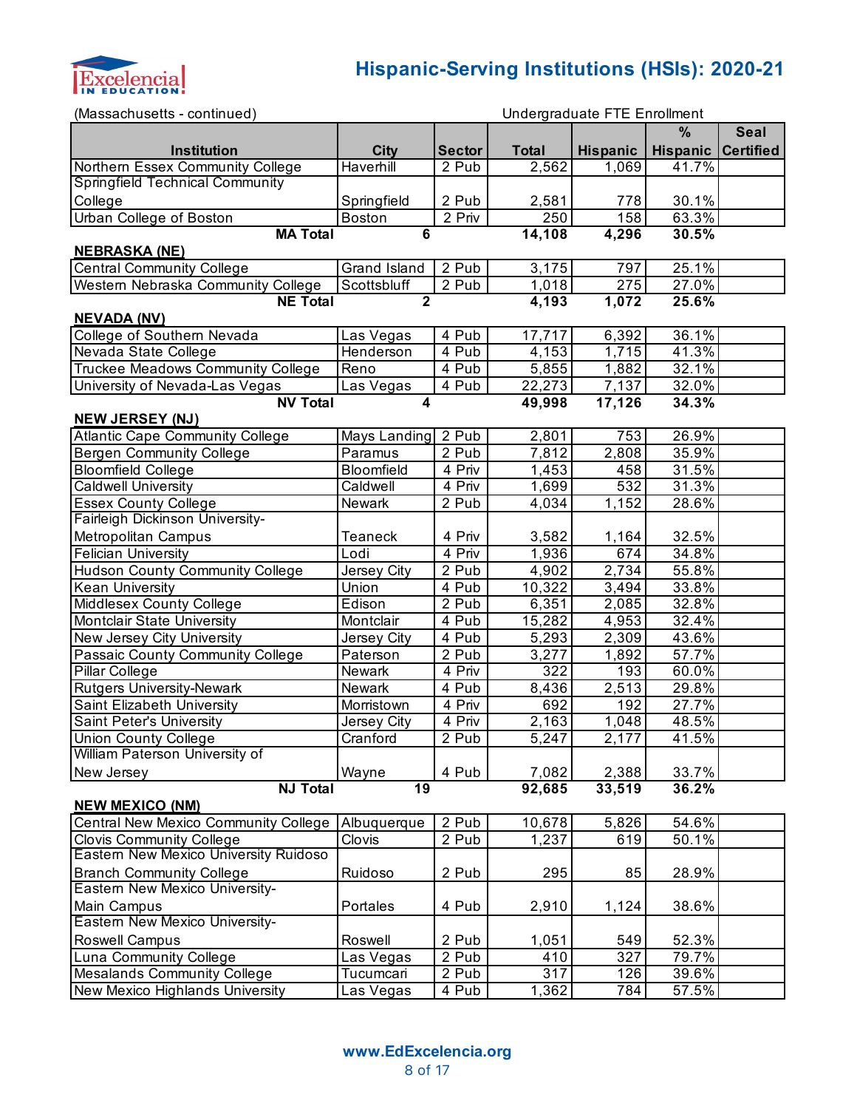

| (Massachusetts - continued)                 |                |                     |                  | Undergraduate FTE Enrollment |          |                  |
|---------------------------------------------|----------------|---------------------|------------------|------------------------------|----------|------------------|
|                                             |                |                     |                  |                              | %        | <b>Seal</b>      |
| Institution                                 | <b>City</b>    | <b>Sector</b>       | <b>Total</b>     | Hispanic                     | Hispanic | <b>Certified</b> |
| Northern Essex Community College            | Haverhill      | 2 Pub               | 2,562            | 1,069                        | 41.7%    |                  |
| <b>Springfield Technical Community</b>      |                |                     |                  |                              |          |                  |
| College                                     | Springfield    | 2 Pub               | 2,581            | 778                          | 30.1%    |                  |
| <b>Urban College of Boston</b>              | <b>Boston</b>  | $\overline{2}$ Priv | 250              | 158                          | 63.3%    |                  |
| <b>MA Total</b>                             | 6              |                     | 14,108           | 4,296                        | 30.5%    |                  |
| <b>NEBRASKA (NE)</b>                        |                |                     |                  |                              |          |                  |
| <b>Central Community College</b>            | Grand Island   | 2 Pub               | 3,175            | 797                          | 25.1%    |                  |
| Western Nebraska Community College          | Scottsbluff    | 2 Pub               | 1,018            | 275                          | 27.0%    |                  |
| <b>NE Total</b>                             | $\overline{2}$ |                     | 4,193            | 1,072                        | 25.6%    |                  |
| <b>NEVADA (NV)</b>                          |                |                     |                  |                              |          |                  |
| College of Southern Nevada                  | Las Vegas      | 4 Pub               | 17,717           | 6,392                        | 36.1%    |                  |
| Nevada State College                        | Henderson      | 4 Pub               | 4,153            | 1,715                        | 41.3%    |                  |
| Truckee Meadows Community College           | Reno           | 4 Pub               | 5,855            | 1,882                        | 32.1%    |                  |
| University of Nevada-Las Vegas              | Las Vegas      | 4 Pub               | 22,273           | 7,137                        | 32.0%    |                  |
| <b>NV Total</b>                             | 4              |                     | 49,998           | 17,126                       | 34.3%    |                  |
| <b>NEW JERSEY (NJ)</b>                      |                |                     |                  |                              |          |                  |
| <b>Atlantic Cape Community College</b>      | Mays Landing   | 2 Pub               | 2,801            | 753                          | 26.9%    |                  |
| <b>Bergen Community College</b>             | Paramus        | 2 Pub               | 7,812            | $\overline{2,808}$           | 35.9%    |                  |
| <b>Bloomfield College</b>                   | Bloomfield     | 4 Priv              | 1,453            | 458                          | 31.5%    |                  |
| <b>Caldwell University</b>                  | Caldwell       | 4 Priv              | 1,699            | 532                          | 31.3%    |                  |
| <b>Essex County College</b>                 | Newark         | 2 Pub               | 4,034            | 1,152                        | 28.6%    |                  |
| Fairleigh Dickinson University-             |                |                     |                  |                              |          |                  |
| Metropolitan Campus                         | Teaneck        | 4 Priv              | 3,582            | 1,164                        | 32.5%    |                  |
| <b>Felician University</b>                  | Lodi           | 4 Priv              | 1,936            | 674                          | 34.8%    |                  |
| <b>Hudson County Community College</b>      | Jersey City    | 2 Pub               | 4,902            | 2,734                        | 55.8%    |                  |
| <b>Kean University</b>                      | Union          | 4 Pub               | 10,322           | 3,494                        | 33.8%    |                  |
| Middlesex County College                    | Edison         | 2 Pub               | 6,351            | 2,085                        | 32.8%    |                  |
| Montclair State University                  | Montclair      | 4 Pub               | 15,282           | 4,953                        | 32.4%    |                  |
| New Jersey City University                  | Jersey City    | 4 Pub               | 5,293            | 2,309                        | 43.6%    |                  |
| Passaic County Community College            | Paterson       | 2 Pub               | 3,277            | 1,892                        | 57.7%    |                  |
| Pillar College                              | Newark         | 4 Priv              | $\overline{3}22$ | 193                          | 60.0%    |                  |
| <b>Rutgers University-Newark</b>            | Newark         | 4 Pub               | 8,436            | 2,513                        | 29.8%    |                  |
| Saint Elizabeth University                  | Morristown     | 4 Priv              | 692              | 192                          | 27.7%    |                  |
| Saint Peter's University                    | Jersey City    | $\overline{4}$ Priv | 2,163            | $\overline{1,048}$           | 48.5%    |                  |
| <b>Union County College</b>                 | Cranford       | 2 Pub               | 5,247            | 2,177                        | 41.5%    |                  |
| William Paterson University of              |                |                     |                  |                              |          |                  |
| New Jersey                                  | Wayne          | 4 Pub               | 7,082            | 2,388                        | 33.7%    |                  |
| <b>NJ Total</b>                             | 19             |                     | 92,685           | 33,519                       | 36.2%    |                  |
| <b>NEW MEXICO (NM)</b>                      |                |                     |                  |                              |          |                  |
| <b>Central New Mexico Community College</b> | Albuquerque    | 2 Pub               | 10,678           | 5,826                        | 54.6%    |                  |
| <b>Clovis Community College</b>             | Clovis         | 2 Pub               | 1,237            | 619                          | 50.1%    |                  |
| Eastern New Mexico University Ruidoso       |                |                     |                  |                              |          |                  |
| <b>Branch Community College</b>             | Ruidoso        | 2 Pub               | 295              | 85                           | 28.9%    |                  |
| Eastern New Mexico University-              |                |                     |                  |                              |          |                  |
| Main Campus                                 | Portales       | 4 Pub               | 2,910            | 1,124                        | 38.6%    |                  |
| Eastern New Mexico University-              |                |                     |                  |                              |          |                  |
| Roswell Campus                              | Roswell        | 2 Pub               | 1,051            | 549                          | 52.3%    |                  |
| <b>Luna Community College</b>               | Las Vegas      | 2 Pub               | 410              | 327                          | 79.7%    |                  |
| Mesalands Community College                 | Tucumcari      | 2 Pub               | 317              | 126                          | 39.6%    |                  |
| New Mexico Highlands University             | Las Vegas      | 4 Pub               | 1,362            | 784                          | 57.5%    |                  |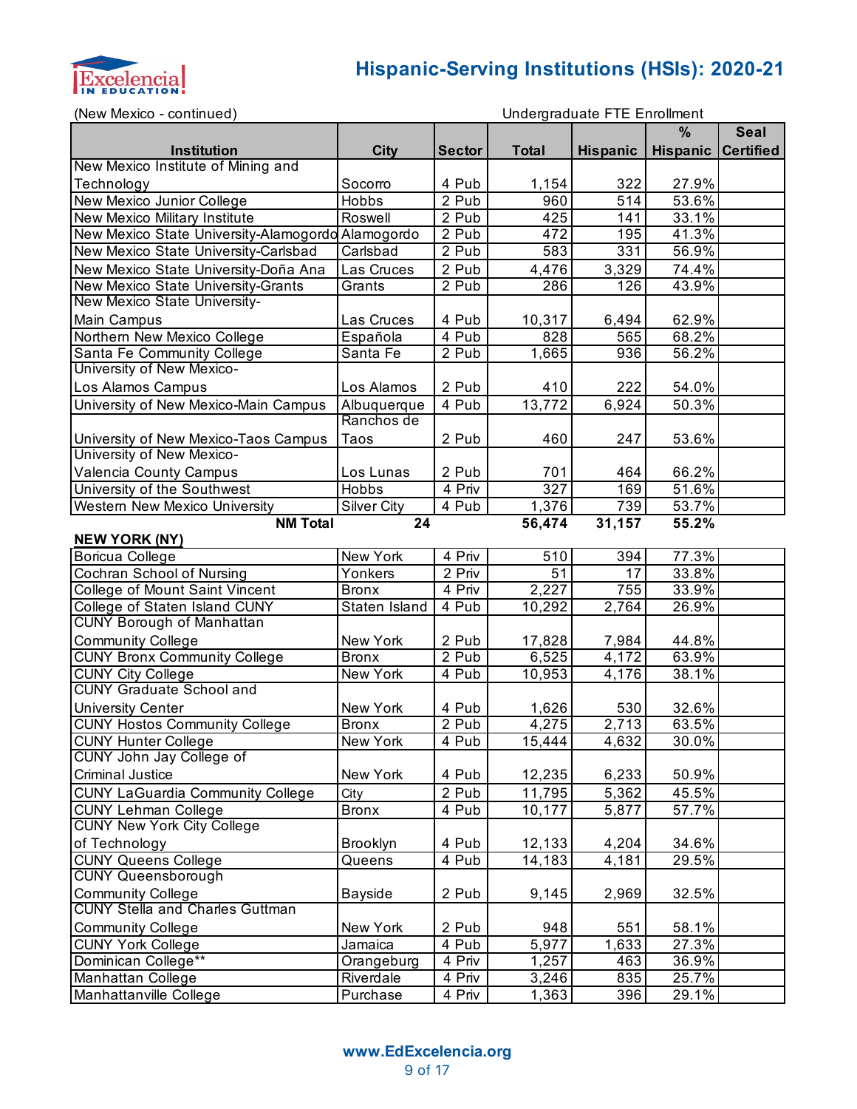

| Undergraduate FTE Enrollment<br>(New Mexico - continued)          |                    |                  |              |                 |                           |             |  |
|-------------------------------------------------------------------|--------------------|------------------|--------------|-----------------|---------------------------|-------------|--|
|                                                                   |                    |                  |              |                 | $\frac{9}{6}$             | <b>Seal</b> |  |
| <b>Institution</b>                                                | <b>City</b>        | <b>Sector</b>    | <b>Total</b> | <b>Hispanic</b> | <b>Hispanic Certified</b> |             |  |
| New Mexico Institute of Mining and                                |                    |                  |              |                 |                           |             |  |
| Technology                                                        | Socorro            | 4 Pub            | 1,154        | 322             | 27.9%                     |             |  |
| New Mexico Junior College                                         | <b>Hobbs</b>       | 2 Pub            | 960          | 514             | 53.6%                     |             |  |
| New Mexico Military Institute                                     | Roswell            | 2 Pub            | 425          | 141             | 33.1%                     |             |  |
| New Mexico State University-Alamogordo Alamogordo                 |                    | 2 Pub            | 472          | 195             | 41.3%                     |             |  |
| New Mexico State University-Carlsbad                              | Carlsbad           | 2 Pub            | 583          | 331             | 56.9%                     |             |  |
| New Mexico State University-Doña Ana                              | Las Cruces         | 2 Pub            | 4,476        | 3,329           | 74.4%                     |             |  |
| New Mexico State University-Grants                                | Grants             | 2 Pub            | 286          | 126             | 43.9%                     |             |  |
| New Mexico State University-                                      |                    |                  |              |                 |                           |             |  |
| Main Campus                                                       | Las Cruces         | 4 Pub            | 10,317       | 6,494           | 62.9%                     |             |  |
| Northern New Mexico College                                       | Española           | 4 Pub            | 828          | 565             | 68.2%                     |             |  |
| Santa Fe Community College                                        | Santa Fe           | 2 Pub            | 1,665        | 936             | 56.2%                     |             |  |
| University of New Mexico-                                         |                    |                  |              |                 |                           |             |  |
| Los Alamos Campus                                                 | Los Alamos         | 2 Pub            | 410          | 222             | 54.0%                     |             |  |
| University of New Mexico-Main Campus                              | Albuquerque        | 4 Pub            | 13,772       | 6,924           | 50.3%                     |             |  |
|                                                                   | Ranchos de         |                  |              |                 |                           |             |  |
|                                                                   | Taos               | 2 Pub            | 460          | 247             | 53.6%                     |             |  |
| University of New Mexico-Taos Campus<br>University of New Mexico- |                    |                  |              |                 |                           |             |  |
|                                                                   |                    |                  |              | 464             |                           |             |  |
| Valencia County Campus                                            | Los Lunas          | 2 Pub            | 701          |                 | 66.2%                     |             |  |
| University of the Southwest                                       | Hobbs              | 4 Priv           | 327          | 169             | 51.6%                     |             |  |
| Western New Mexico University                                     | <b>Silver City</b> | 4 Pub            | 1,376        | 739             | 53.7%                     |             |  |
| <b>NM Total</b><br>24<br>56,474<br>31,157<br>55.2%                |                    |                  |              |                 |                           |             |  |
| <b>NEW YORK (NY)</b>                                              |                    |                  |              |                 |                           |             |  |
| Boricua College                                                   | New York           | 4 Priv<br>2 Priv | 510          | 394<br>17       | 77.3%                     |             |  |
| Cochran School of Nursing                                         | Yonkers            |                  | 51           |                 | 33.8%                     |             |  |
| College of Mount Saint Vincent                                    | <b>Bronx</b>       | 4 Priv           | 2,227        | 755             | 33.9%                     |             |  |
| College of Staten Island CUNY                                     | Staten Island      | 4 Pub            | 10,292       | 2,764           | 26.9%                     |             |  |
| <b>CUNY Borough of Manhattan</b>                                  |                    |                  |              |                 |                           |             |  |
| <b>Community College</b>                                          | New York           | 2 Pub            | 17,828       | 7,984           | 44.8%                     |             |  |
| <b>CUNY Bronx Community College</b>                               | <b>Bronx</b>       | 2 Pub            | 6,525        | 4,172           | 63.9%                     |             |  |
| <b>CUNY City College</b>                                          | New York           | 4 Pub            | 10,953       | 4,176           | 38.1%                     |             |  |
| <b>CUNY Graduate School and</b>                                   |                    |                  |              |                 |                           |             |  |
| <b>University Center</b>                                          | New York           | 4 Pub            | 1,626        | 530             | 32.6%                     |             |  |
| <b>CUNY Hostos Community College</b>                              | <b>Bronx</b>       | 2 Pub            | 4,275        | 2,713           | 63.5%                     |             |  |
| <b>CUNY Hunter College</b>                                        | New York           | 4 Pub            | 15,444       | 4,632           | $30.0\%$                  |             |  |
| CUNY John Jay College of                                          |                    |                  |              |                 |                           |             |  |
| <b>Criminal Justice</b>                                           | New York           | 4 Pub            | 12,235       | 6,233           | 50.9%                     |             |  |
| <b>CUNY LaGuardia Community College</b>                           | City               | 2 Pub            | 11,795       | 5,362           | 45.5%                     |             |  |
| <b>CUNY Lehman College</b>                                        | <b>Bronx</b>       | 4 Pub            | 10,177       | 5,877           | 57.7%                     |             |  |
| <b>CUNY New York City College</b>                                 |                    |                  |              |                 |                           |             |  |
| of Technology                                                     | <b>Brooklyn</b>    | 4 Pub            | 12,133       | 4,204           | 34.6%                     |             |  |
| <b>CUNY Queens College</b>                                        | Queens             | 4 Pub            | 14,183       | 4,181           | 29.5%                     |             |  |
| <b>CUNY Queensborough</b>                                         |                    |                  |              |                 |                           |             |  |
| <b>Community College</b>                                          | <b>Bayside</b>     | 2 Pub            | 9,145        | 2,969           | 32.5%                     |             |  |
| <b>CUNY Stella and Charles Guttman</b>                            |                    |                  |              |                 |                           |             |  |
| <b>Community College</b>                                          | New York           | 2 Pub            | 948          | 551             | 58.1%                     |             |  |
| <b>CUNY York College</b>                                          | Jamaica            | 4 Pub            | 5,977        | 1,633           | 27.3%                     |             |  |
| Dominican College**                                               | Orangeburg         | 4 Priv           | 1,257        | 463             | 36.9%                     |             |  |
| Manhattan College                                                 | Riverdale          | 4 Priv           | 3,246        | 835             | 25.7%                     |             |  |
| Manhattanville College                                            | Purchase           | 4 Priv           | 1,363        | 396             | 29.1%                     |             |  |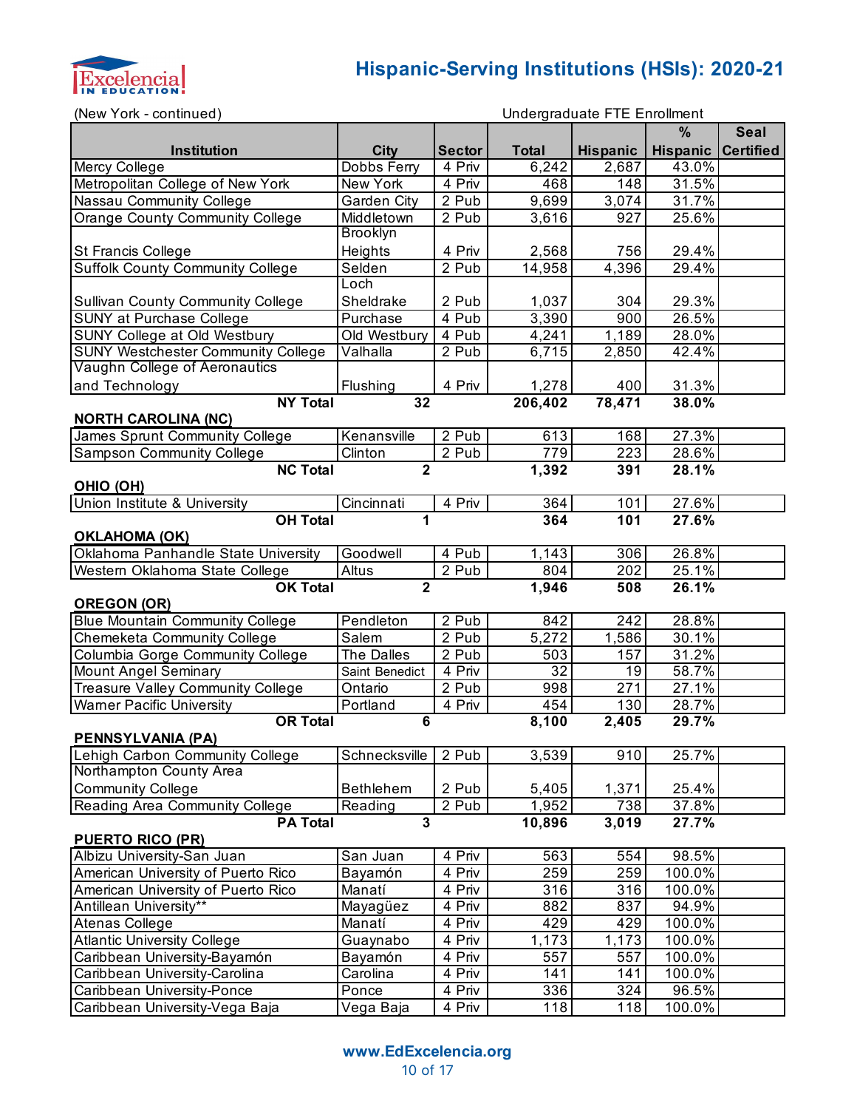

| (New York - continued)                                   |                  |               |                    | Undergraduate FTE Enrollment |                 |                  |
|----------------------------------------------------------|------------------|---------------|--------------------|------------------------------|-----------------|------------------|
|                                                          |                  |               |                    |                              | $\%$            | <b>Seal</b>      |
| Institution                                              | <b>City</b>      | <b>Sector</b> | <b>Total</b>       | <b>Hispanic</b>              | <b>Hispanic</b> | <b>Certified</b> |
| Mercy College                                            | Dobbs Ferry      | 4 Priv        | 6,242              | 2,687                        | 43.0%           |                  |
| Metropolitan College of New York                         | New York         | 4 Priv        | 468                | 148                          | 31.5%           |                  |
| Nassau Community College                                 | Garden City      | 2 Pub         | $\overline{9,699}$ | 3,074                        | 31.7%           |                  |
| <b>Orange County Community College</b>                   | Middletown       | 2 Pub         | 3,616              | 927                          | 25.6%           |                  |
|                                                          | <b>Brooklyn</b>  |               |                    |                              |                 |                  |
| St Francis College                                       | Heights          | 4 Priv        | 2,568              | 756                          | 29.4%           |                  |
| <b>Suffolk County Community College</b>                  | Selden           | 2 Pub         | 14,958             | 4,396                        | 29.4%           |                  |
|                                                          | Loch             |               |                    |                              |                 |                  |
| <b>Sullivan County Community College</b>                 | Sheldrake        | 2 Pub         | 1,037              | 304                          | 29.3%           |                  |
| <b>SUNY at Purchase College</b>                          | Purchase         | 4 Pub         | 3,390              | 900                          | 26.5%           |                  |
| SUNY College at Old Westbury                             | Old Westbury     | 4 Pub         | 4,241              | $\overline{1,189}$           | 28.0%           |                  |
| <b>SUNY Westchester Community College</b>                | Valhalla         | 2 Pub         | 6,715              | 2,850                        | 42.4%           |                  |
| Vaughn College of Aeronautics                            |                  |               |                    |                              |                 |                  |
| and Technology                                           | Flushing         | 4 Priv        | 1,278              | 400                          | 31.3%           |                  |
| <b>NY Total</b>                                          | 32               |               | 206,402            | 78,471                       | 38.0%           |                  |
| <b>NORTH CAROLINA (NC)</b>                               |                  |               |                    |                              |                 |                  |
| James Sprunt Community College                           | Kenansville      | 2 Pub         | 613                | 168                          | 27.3%           |                  |
| <b>Sampson Community College</b>                         | Clinton          | 2 Pub         | 779                | 223                          | 28.6%           |                  |
| <b>NC Total</b>                                          | $\overline{2}$   |               | 1,392              | 391                          | 28.1%           |                  |
| OHIO (OH)                                                |                  |               |                    |                              |                 |                  |
| Union Institute & University                             | Cincinnati       | 4 Priv        | 364                | 101                          | 27.6%           |                  |
| <b>OH Total</b><br>27.6%<br>1<br>$\overline{364}$<br>101 |                  |               |                    |                              |                 |                  |
| <b>OKLAHOMA (OK)</b>                                     |                  |               |                    |                              |                 |                  |
| Oklahoma Panhandle State University                      | Goodwell         | 4 Pub         | 1,143              | 306                          | 26.8%           |                  |
| Western Oklahoma State College                           | Altus            | 2 Pub         | 804                | 202                          | 25.1%           |                  |
| <b>OK Total</b>                                          | $\overline{2}$   |               | 1,946              | 508                          | 26.1%           |                  |
| <b>OREGON (OR)</b>                                       |                  |               |                    |                              |                 |                  |
| <b>Blue Mountain Community College</b>                   | Pendleton        | 2 Pub         | 842                | 242                          | 28.8%           |                  |
| <b>Chemeketa Community College</b>                       | Salem            | 2 Pub         | 5,272              | 1,586                        | 30.1%           |                  |
| Columbia Gorge Community College                         | The Dalles       | 2 Pub         | 503                | 157                          | 31.2%           |                  |
| <b>Mount Angel Seminary</b>                              | Saint Benedict   | 4 Priv        | $\overline{32}$    | 19                           | 58.7%           |                  |
| <b>Treasure Valley Community College</b>                 | Ontario          | 2 Pub         | 998                | 271                          | 27.1%           |                  |
| <b>Warner Pacific University</b>                         | Portland         | 4 Priv        | 454                | 130                          | 28.7%           |                  |
| <b>OR Total</b>                                          | 6                |               | 8,100              | 2,405                        | 29.7%           |                  |
| <b>PENNSYLVANIA (PA)</b>                                 |                  |               |                    |                              |                 |                  |
| Lehigh Carbon Community College                          | Schnecksville    | 2 Pub         | 3,539              | 910                          | 25.7%           |                  |
| Northampton County Area                                  |                  |               |                    |                              |                 |                  |
| <b>Community College</b>                                 | <b>Bethlehem</b> | 2 Pub         | 5,405              | 1,371                        | 25.4%           |                  |
| Reading Area Community College                           | Reading          | 2 Pub         | 1,952              | 738                          | 37.8%           |                  |
| <b>PA Total</b><br><b>PUERTO RICO (PR)</b>               | $\overline{3}$   |               | 10,896             | 3,019                        | 27.7%           |                  |
| Albizu University-San Juan                               | San Juan         | 4 Priv        | 563                | 554                          | 98.5%           |                  |
| American University of Puerto Rico                       | Bayamón          | 4 Priv        | 259                | 259                          | 100.0%          |                  |
| American University of Puerto Rico                       | Manatí           | 4 Priv        | 316                | 316                          | 100.0%          |                  |
| Antillean University**                                   | Mayagüez         | 4 Priv        | 882                | 837                          | 94.9%           |                  |
| Atenas College                                           | Manatí           | 4 Priv        | 429                | 429                          | 100.0%          |                  |
| <b>Atlantic University College</b>                       | Guaynabo         | 4 Priv        | 1,173              | 1,173                        | 100.0%          |                  |

Caribbean University-Bayamón Bayamón 4 Priv 557 557 100.0% Caribbean University-Carolina | Carolina | 4 Priv | 141 | 141 100.0% Caribbean University-Ponce Ponce 4 Priv 336 324 96.5%<br>Caribbean University-Vega Baja Vega Baja 4 Priv 118 118 100.0% Caribbean University-Vega Baja | Vega Baja | 4 Priv | 118 | 118 | 100.0%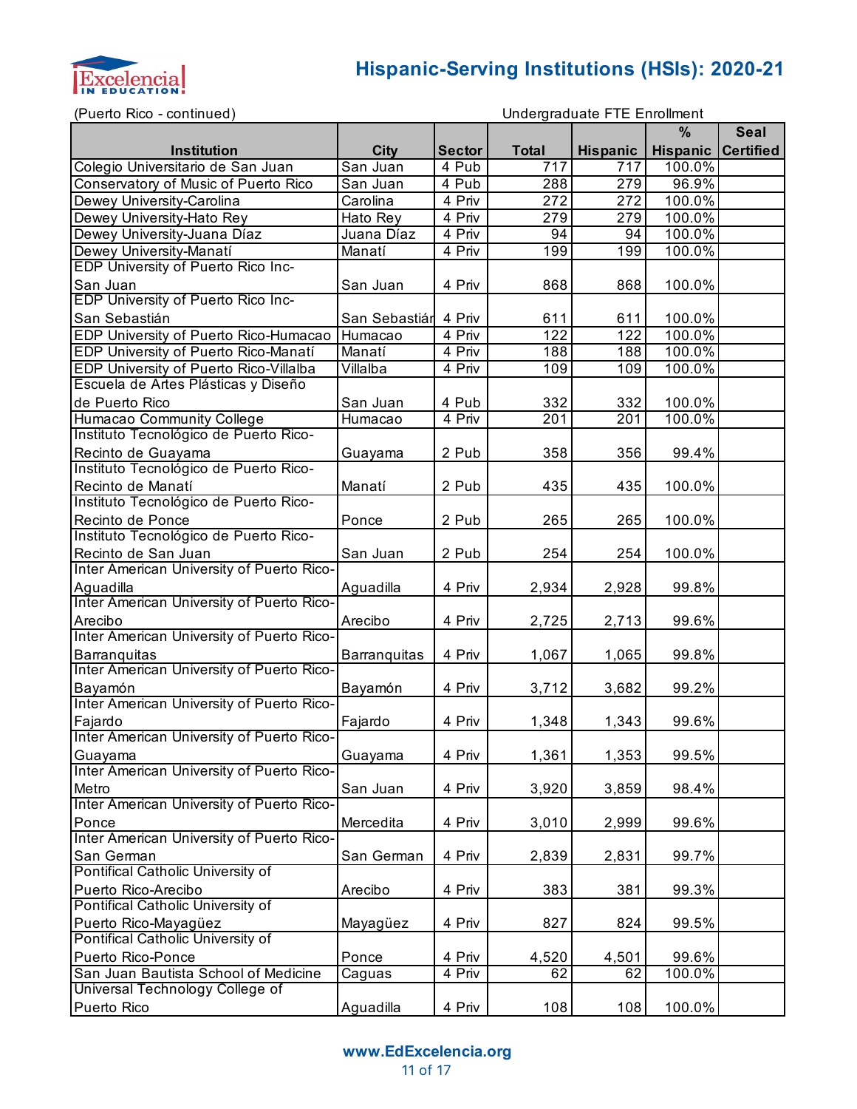

(Puerto Rico - continued)

```
Undergraduate FTE Enrollment
```

|                                                           |               |               |              |                  | $\frac{9}{6}$             | <b>Seal</b> |
|-----------------------------------------------------------|---------------|---------------|--------------|------------------|---------------------------|-------------|
| Institution                                               | <b>City</b>   | <b>Sector</b> | <b>Total</b> | <b>Hispanic</b>  | <b>Hispanic Certified</b> |             |
| Colegio Universitario de San Juan                         | San Juan      | 4 Pub         | 717          | $71\overline{7}$ | 100.0%                    |             |
| Conservatory of Music of Puerto Rico                      | San Juan      | 4 Pub         | 288          | 279              | 96.9%                     |             |
| Dewey University-Carolina                                 | Carolina      | 4 Priv        | 272          | 272              | 100.0%                    |             |
| Dewey University-Hato Rey                                 | Hato Rey      | 4 Priv        | 279          | 279              | 100.0%                    |             |
| Dewey University-Juana Díaz                               | Juana Díaz    | 4 Priv        | 94           | 94               | 100.0%                    |             |
| Dewey University-Manatí                                   | Manatí        | 4 Priv        | 199          | 199              | 100.0%                    |             |
| <b>EDP University of Puerto Rico Inc-</b>                 |               |               |              |                  |                           |             |
| San Juan                                                  | San Juan      | 4 Priv        | 868          | 868              | 100.0%                    |             |
| <b>EDP University of Puerto Rico Inc-</b>                 |               |               |              |                  |                           |             |
| San Sebastián                                             | San Sebastiár | 4 Priv        | 611          | 611              | 100.0%                    |             |
| EDP University of Puerto Rico-Humacao                     | Humacao       | 4 Priv        | 122          | 122              | 100.0%                    |             |
| EDP University of Puerto Rico-Manatí                      | Manatí        | 4 Priv        | 188          | 188              | 100.0%                    |             |
| EDP University of Puerto Rico-Villalba                    | Villalba      | 4 Priv        | 109          | 109              | 100.0%                    |             |
| Escuela de Artes Plásticas y Diseño                       |               |               |              |                  |                           |             |
| de Puerto Rico                                            | San Juan      | 4 Pub         | 332          | 332              | 100.0%                    |             |
| Humacao Community College                                 | Humacao       | 4 Priv        | 201          | 201              | 100.0%                    |             |
| Instituto Tecnológico de Puerto Rico-                     |               |               |              |                  |                           |             |
| Recinto de Guayama                                        | Guayama       | 2 Pub         | 358          | 356              | 99.4%                     |             |
| Instituto Tecnológico de Puerto Rico-                     |               |               |              |                  |                           |             |
| Recinto de Manatí                                         | Manatí        | 2 Pub         | 435          | 435              | 100.0%                    |             |
| Instituto Tecnológico de Puerto Rico-                     |               |               |              |                  |                           |             |
| Recinto de Ponce                                          | Ponce         | 2 Pub         | 265          | 265              | 100.0%                    |             |
| Instituto Tecnológico de Puerto Rico-                     |               |               |              |                  |                           |             |
| Recinto de San Juan                                       | San Juan      | 2 Pub         | 254          | 254              | 100.0%                    |             |
| Inter American University of Puerto Rico-                 |               |               |              |                  |                           |             |
| Aguadilla                                                 | Aguadilla     | 4 Priv        | 2,934        | 2,928            | 99.8%                     |             |
| Inter American University of Puerto Rico-                 |               |               |              |                  |                           |             |
| Arecibo                                                   | Arecibo       | 4 Priv        | 2,725        | 2,713            | 99.6%                     |             |
| Inter American University of Puerto Rico-                 |               |               |              |                  |                           |             |
| Barranquitas<br>Inter American University of Puerto Rico- | Barranquitas  | 4 Priv        | 1,067        | 1,065            | 99.8%                     |             |
|                                                           |               |               |              |                  |                           |             |
| Bayamón<br>Inter American University of Puerto Rico-      | Bayamón       | 4 Priv        | 3,712        | 3,682            | 99.2%                     |             |
| Fajardo                                                   | Fajardo       | 4 Priv        | 1,348        | 1,343            | 99.6%                     |             |
| Inter American University of Puerto Rico-                 |               |               |              |                  |                           |             |
| Guayama                                                   | Guayama       | 4 Priv        | 1,361        | 1,353            | 99.5%                     |             |
| Inter American University of Puerto Rico-                 |               |               |              |                  |                           |             |
| Metro                                                     | San Juan      | 4 Priv        | 3,920        | 3,859            | 98.4%                     |             |
| Inter American University of Puerto Rico-                 |               |               |              |                  |                           |             |
| Ponce                                                     | Mercedita     | 4 Priv        | 3,010        | 2,999            | 99.6%                     |             |
| Inter American University of Puerto Rico-                 |               |               |              |                  |                           |             |
| San German                                                | San German    | 4 Priv        | 2,839        | 2,831            | 99.7%                     |             |
| Pontifical Catholic University of                         |               |               |              |                  |                           |             |
| Puerto Rico-Arecibo                                       | Arecibo       | 4 Priv        | 383          | 381              | 99.3%                     |             |
| Pontifical Catholic University of                         |               |               |              |                  |                           |             |
| Puerto Rico-Mayagüez                                      | Mayagüez      | 4 Priv        | 827          | 824              | 99.5%                     |             |
| Pontifical Catholic University of                         |               |               |              |                  |                           |             |
| Puerto Rico-Ponce                                         | Ponce         | 4 Priv        | 4,520        | 4,501            | 99.6%                     |             |
| San Juan Bautista School of Medicine                      | Caguas        | 4 Priv        | 62           | 62               | 100.0%                    |             |
| Universal Technology College of                           |               |               |              |                  |                           |             |
| Puerto Rico                                               | Aguadilla     | 4 Priv        | 108          | 108              | 100.0%                    |             |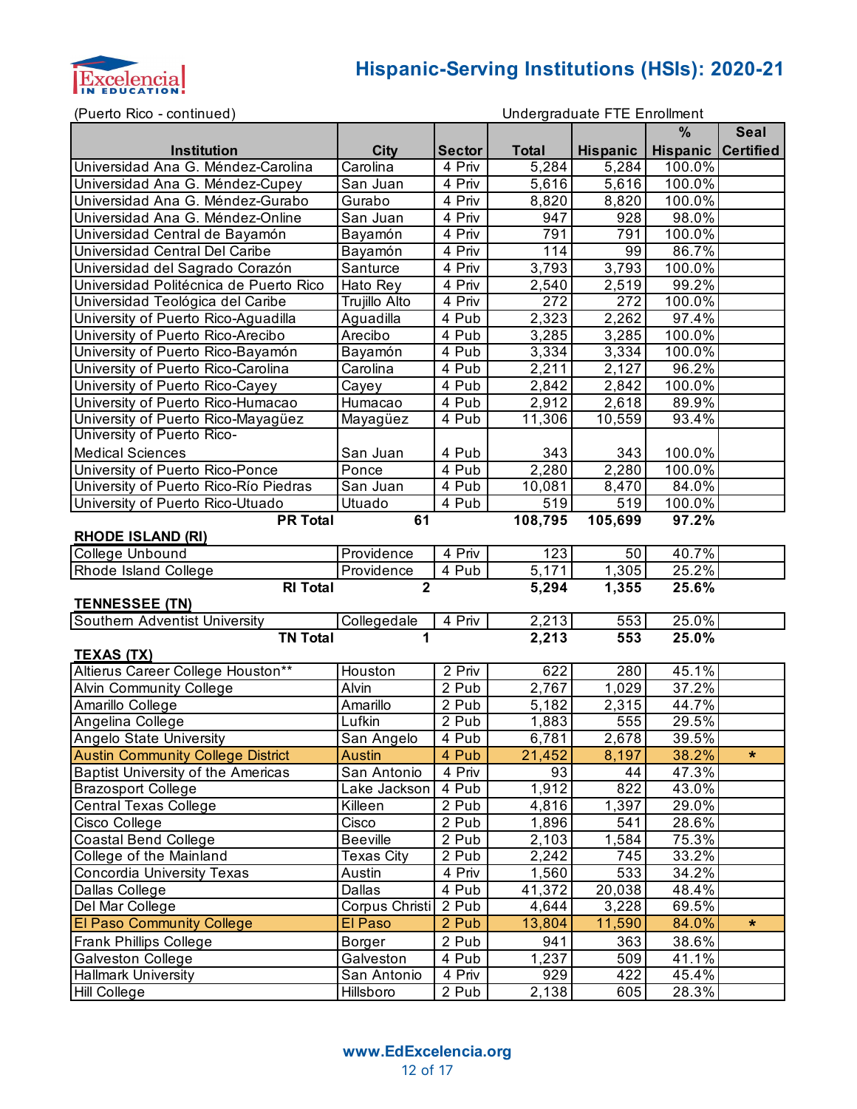

(Puerto Rico - continued)

|                                                      |                              |               |                    |                    | %                         | <b>Seal</b> |  |  |  |
|------------------------------------------------------|------------------------------|---------------|--------------------|--------------------|---------------------------|-------------|--|--|--|
| Institution                                          | <b>City</b>                  | <b>Sector</b> | <b>Total</b>       | <b>Hispanic</b>    | <b>Hispanic Certified</b> |             |  |  |  |
| Universidad Ana G. Méndez-Carolina                   | Carolina                     | 4 Priv        | 5,284              | 5,284              | 100.0%                    |             |  |  |  |
| Universidad Ana G. Méndez-Cupey                      | San Juan                     | 4 Priv        | 5,616              | 5,616              | 100.0%                    |             |  |  |  |
| Universidad Ana G. Méndez-Gurabo                     | Gurabo                       | 4 Priv        | 8,820              | 8,820              | 100.0%                    |             |  |  |  |
| Universidad Ana G. Méndez-Online                     | San Juan                     | 4 Priv        | 947                | 928                | 98.0%                     |             |  |  |  |
| Universidad Central de Bayamón                       | Bayamón                      | 4 Priv        | 791                | 791                | 100.0%                    |             |  |  |  |
| Universidad Central Del Caribe                       | Bayamón                      | 4 Priv        | 114                | 99                 | 86.7%                     |             |  |  |  |
| Universidad del Sagrado Corazón                      | Santurce                     | 4 Priv        | 3,793              | 3,793              | 100.0%                    |             |  |  |  |
| Universidad Politécnica de Puerto Rico               | Hato Rey                     | 4 Priv        | 2,540              | 2,519              | 99.2%                     |             |  |  |  |
| Universidad Teológica del Caribe                     | Trujillo Alto                | 4 Priv        | 272                | 272                | 100.0%                    |             |  |  |  |
| University of Puerto Rico-Aguadilla                  | Aguadilla                    | 4 Pub         | 2,323              | 2,262              | 97.4%                     |             |  |  |  |
| University of Puerto Rico-Arecibo                    | Arecibo                      | 4 Pub         | 3,285              | 3,285              | 100.0%                    |             |  |  |  |
| University of Puerto Rico-Bayamón                    | Bayamón                      | 4 Pub         | 3,334              | 3,334              | 100.0%                    |             |  |  |  |
| University of Puerto Rico-Carolina                   | Carolina                     | 4 Pub         | 2,211              | 2,127              | 96.2%                     |             |  |  |  |
| University of Puerto Rico-Cayey                      | Cayey                        | 4 Pub         | 2,842              | $\overline{2,842}$ | 100.0%                    |             |  |  |  |
| University of Puerto Rico-Humacao                    | Humacao                      | 4 Pub         | 2,912              | $\overline{2,618}$ | 89.9%                     |             |  |  |  |
| University of Puerto Rico-Mayagüez                   | Mayagüez                     | 4 Pub         | 11,306             | 10,559             | 93.4%                     |             |  |  |  |
| University of Puerto Rico-                           |                              |               |                    |                    |                           |             |  |  |  |
| <b>Medical Sciences</b>                              | San Juan                     | 4 Pub         | 343                | 343                | 100.0%                    |             |  |  |  |
| University of Puerto Rico-Ponce                      | Ponce                        | 4 Pub         | 2,280              | 2,280              | 100.0%                    |             |  |  |  |
| University of Puerto Rico-Río Piedras                | San Juan                     | 4 Pub         | 10,081             | 8,470              | 84.0%                     |             |  |  |  |
| University of Puerto Rico-Utuado                     | Utuado                       | 4 Pub         | 519                | 519                | 100.0%                    |             |  |  |  |
| <b>PR Total</b><br>108,795<br>61<br>105,699<br>97.2% |                              |               |                    |                    |                           |             |  |  |  |
| <b>RHODE ISLAND (RI)</b>                             |                              |               |                    |                    |                           |             |  |  |  |
| College Unbound                                      | Providence                   | 4 Priv        | 123                | 50                 | 40.7%                     |             |  |  |  |
| Rhode Island College                                 | Providence<br>$\overline{2}$ | 4 Pub         | $\overline{5,171}$ | 1,305              | 25.2%                     |             |  |  |  |
| <b>RI</b> Total                                      |                              | 5,294         | 1,355              | 25.6%              |                           |             |  |  |  |
| <b>TENNESSEE (TN)</b>                                |                              |               |                    |                    |                           |             |  |  |  |
| Southern Adventist University                        | Collegedale                  | 4 Priv        | 2,213              | 553                | 25.0%                     |             |  |  |  |
| <b>TN Total</b>                                      | 1                            |               | 2,213              | 553                | 25.0%                     |             |  |  |  |
| <b>TEXAS (TX)</b>                                    |                              |               |                    |                    |                           |             |  |  |  |
| Altierus Career College Houston**                    | Houston                      | 2 Priv        | 622                | 280                | 45.1%                     |             |  |  |  |
| <b>Alvin Community College</b>                       | Alvin                        | 2 Pub         | 2,767              | $\overline{1,029}$ | 37.2%                     |             |  |  |  |
| Amarillo College                                     | Amarillo                     | 2 Pub         | 5,182              | 2,315              | 44.7%                     |             |  |  |  |
| Angelina College                                     | Lufkin                       | 2 Pub         | 1,883              | 555                | 29.5%                     |             |  |  |  |
| Angelo State University                              | San Angelo                   | 4 Pub         | 6,781              | 2,678              | 39.5%                     |             |  |  |  |
| <b>Austin Community College District</b>             | <b>Austin</b>                | 4 Pub         | 21,452             | 8,197              | 38.2%                     | $\star$     |  |  |  |
| <b>Baptist University of the Americas</b>            | San Antonio                  | 4 Priv        | 93                 | 44                 | 47.3%                     |             |  |  |  |
| <b>Brazosport College</b>                            | Lake Jackson                 | 4 Pub         | 1,912              | 822                | 43.0%                     |             |  |  |  |
| Central Texas College                                | Killeen                      | 2 Pub         | 4,816              | 1,397              | 29.0%                     |             |  |  |  |
| Cisco College                                        | Cisco                        | 2 Pub         | 1,896              | 541                | 28.6%                     |             |  |  |  |
| Coastal Bend College                                 | <b>Beeville</b>              | 2 Pub         | 2,103              | 1,584              | 75.3%                     |             |  |  |  |
| College of the Mainland                              | <b>Texas City</b>            | 2 Pub         | 2,242              | 745                | 33.2%                     |             |  |  |  |
| <b>Concordia University Texas</b>                    | Austin                       | 4 Priv        | 1,560              | 533                | 34.2%                     |             |  |  |  |
| Dallas College                                       | Dallas                       | 4 Pub         | 41,372             | 20,038             | 48.4%                     |             |  |  |  |
| Del Mar College                                      | Corpus Christi               | 2 Pub         | 4,644              | 3,228              | 69.5%                     |             |  |  |  |
| <b>El Paso Community College</b>                     | El Paso                      | 2 Pub         | 13,804             | 11,590             | 84.0%                     | $\star$     |  |  |  |
| <b>Frank Phillips College</b>                        | Borger                       | 2 Pub         | 941                | 363                | 38.6%                     |             |  |  |  |
| Galveston College                                    | Galveston                    | 4 Pub         | 1,237              | 509                | 41.1%                     |             |  |  |  |
| <b>Hallmark University</b>                           | San Antonio                  | 4 Priv        | 929                | 422                | 45.4%                     |             |  |  |  |
| <b>Hill College</b>                                  | Hillsboro                    | 2 Pub         | 2,138              | 605                | 28.3%                     |             |  |  |  |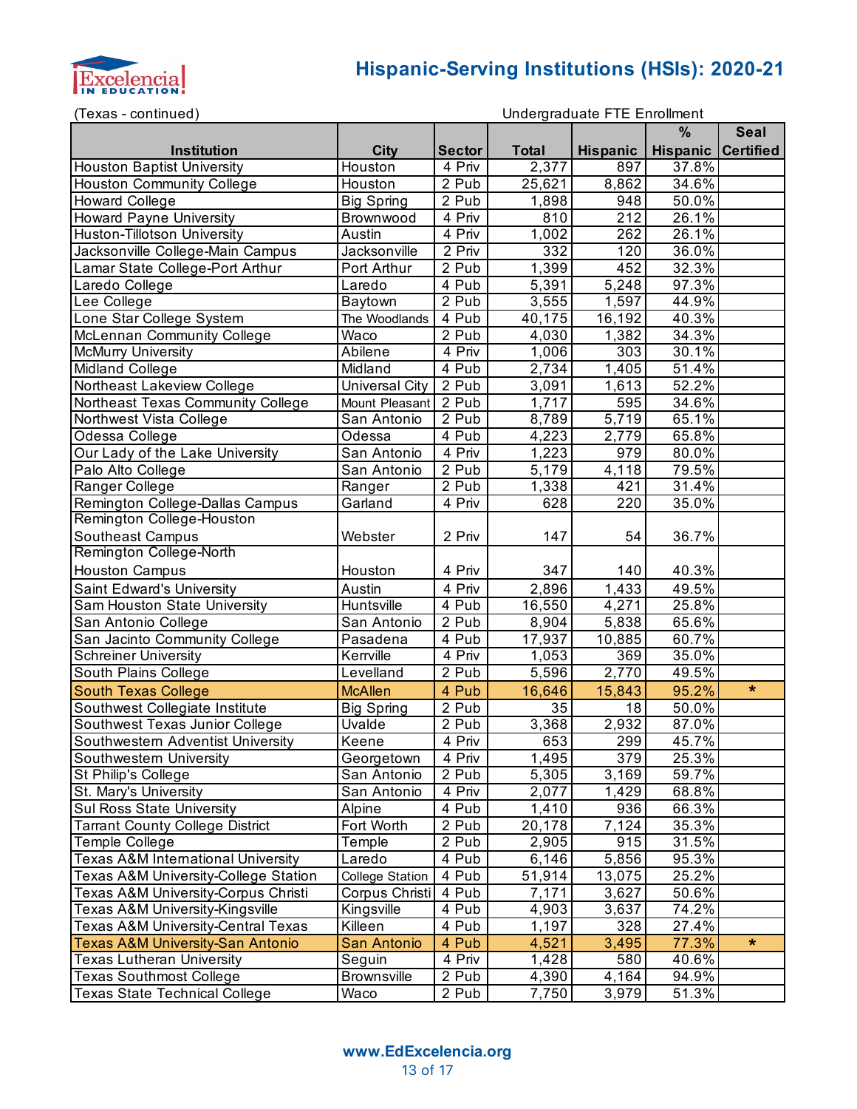

(Texas - continued)

|                                                 |                        |                    |              |                 | %                         | <b>Seal</b> |
|-------------------------------------------------|------------------------|--------------------|--------------|-----------------|---------------------------|-------------|
| Institution                                     | <b>City</b>            | <b>Sector</b>      | <b>Total</b> | <b>Hispanic</b> | <b>Hispanic Certified</b> |             |
| <b>Houston Baptist University</b>               | Houston                | 4 Priv             | 2,377        | 897             | 37.8%                     |             |
| <b>Houston Community College</b>                | Houston                | 2 Pub              | 25,621       | 8,862           | 34.6%                     |             |
| <b>Howard College</b>                           | <b>Big Spring</b>      | 2 Pub              | 1,898        | 948             | 50.0%                     |             |
| <b>Howard Payne University</b>                  | Brownwood              | 4 Priv             | 810          | 212             | 26.1%                     |             |
| Huston-Tillotson University                     | Austin                 | 4 Priv             | 1,002        | 262             | 26.1%                     |             |
| Jacksonville College-Main Campus                | Jacksonville           | 2 Priv             | 332          | 120             | 36.0%                     |             |
| Lamar State College-Port Arthur                 | Port Arthur            | 2 Pub              | 1,399        | 452             | 32.3%                     |             |
| Laredo College                                  | Laredo                 | $\overline{4}$ Pub | 5,391        | 5,248           | 97.3%                     |             |
| Lee College                                     | Baytown                | 2 Pub              | 3,555        | 1,597           | 44.9%                     |             |
| Lone Star College System                        | The Woodlands          | 4 Pub              | 40,175       | 16,192          | 40.3%                     |             |
| McLennan Community College                      | <b>Waco</b>            | 2 Pub              | 4,030        | 1,382           | 34.3%                     |             |
| <b>McMurry University</b>                       | Abilene                | 4 Priv             | 1,006        | 303             | 30.1%                     |             |
| Midland College                                 | Midland                | 4 Pub              | 2,734        | 1,405           | 51.4%                     |             |
| Northeast Lakeview College                      | <b>Universal City</b>  | 2 Pub              | 3,091        | 1,613           | 52.2%                     |             |
| Northeast Texas Community College               | Mount Pleasant         | 2 Pub              | 1,717        | 595             | 34.6%                     |             |
| Northwest Vista College                         | San Antonio            | 2 Pub              | 8,789        | 5,719           | 65.1%                     |             |
| Odessa College                                  | Odessa                 | 4 Pub              | 4,223        | 2,779           | 65.8%                     |             |
| Our Lady of the Lake University                 | San Antonio            | 4 Priv             | 1,223        | 979             | 80.0%                     |             |
| Palo Alto College                               | San Antonio            | 2 Pub              | 5,179        | 4,118           | 79.5%                     |             |
| Ranger College                                  | Ranger                 | 2 Pub              | 1,338        | 421             | 31.4%                     |             |
| Remington College-Dallas Campus                 | Garland                | 4 Priv             | 628          | 220             | 35.0%                     |             |
| Remington College-Houston                       |                        |                    |              |                 |                           |             |
| <b>Southeast Campus</b>                         | Webster                | 2 Priv             | 147          | 54              | 36.7%                     |             |
| Remington College-North                         |                        |                    |              |                 |                           |             |
| <b>Houston Campus</b>                           | Houston                | 4 Priv             | 347          | 140             | 40.3%                     |             |
| Saint Edward's University                       | Austin                 | 4 Priv             | 2,896        | 1,433           | 49.5%                     |             |
| Sam Houston State University                    | Huntsville             | 4 Pub              | 16,550       | 4,271           | 25.8%                     |             |
| San Antonio College                             | San Antonio            | 2 Pub              | 8,904        | 5,838           | 65.6%                     |             |
| San Jacinto Community College                   | Pasadena               | 4 Pub              | 17,937       | 10,885          | 60.7%                     |             |
| <b>Schreiner University</b>                     | Kerrville              | 4 Priv             | 1,053        | 369             | 35.0%                     |             |
| South Plains College                            | Levelland              | 2 Pub              | 5,596        | 2,770           | 49.5%                     |             |
| <b>South Texas College</b>                      | <b>McAllen</b>         | 4 Pub              | 16,646       | 15,843          | 95.2%                     | $\star$     |
| Southwest Collegiate Institute                  | <b>Big Spring</b>      | 2 Pub              | 35           | 18              | 50.0%                     |             |
| Southwest Texas Junior College                  | <b>Uvalde</b>          | 2 Pub              | 3,368        | 2,932           | 87.0%                     |             |
| Southwestern Adventist University               | Keene                  | 4 Priv             | 653          | 299             | 45.7%                     |             |
| Southwestern University                         | Georgetown             | 4 Priv             | 1,495        | 379             | 25.3%                     |             |
| St Philip's College                             | San Antonio            | 2 Pub              | 5,305        | 3,169           | 59.7%                     |             |
| St. Mary's University                           | San Antonio            | 4 Priv             | 2,077        | 1,429           | 68.8%                     |             |
| <b>Sul Ross State University</b>                | Alpine                 | 4 Pub              | 1,410        | 936             | 66.3%                     |             |
| <b>Tarrant County College District</b>          | Fort Worth             | 2 Pub              | 20,178       | 7,124           | 35.3%                     |             |
| Temple College                                  | Temple                 | 2 Pub              | 2,905        | 915             | 31.5%                     |             |
| Texas A&M International University              | Laredo                 | 4 Pub              | 6,146        | 5,856           | 95.3%                     |             |
| <b>Texas A&amp;M University-College Station</b> | <b>College Station</b> | 4 Pub              | 51,914       | 13,075          | 25.2%                     |             |
| Texas A&M University-Corpus Christi             | Corpus Christi         | 4 Pub              | 7,171        | 3,627           | 50.6%                     |             |
| Texas A&M University-Kingsville                 | Kingsville             | 4 Pub              | 4,903        | 3,637           | 74.2%                     |             |
| <b>Texas A&amp;M University-Central Texas</b>   | Killeen                | 4 Pub              | 1,197        | 328             | 27.4%                     |             |
| <b>Texas A&amp;M University-San Antonio</b>     | <b>San Antonio</b>     | 4 Pub              | 4,521        | 3,495           | 77.3%                     | $\star$     |
| <b>Texas Lutheran University</b>                | Seguin                 | 4 Priv             | 1,428        | 580             | 40.6%                     |             |
| <b>Texas Southmost College</b>                  | <b>Brownsville</b>     | 2 Pub              | 4,390        | 4,164           | 94.9%                     |             |
| <b>Texas State Technical College</b>            | Waco                   | 2 Pub              | 7,750        | 3,979           | 51.3%                     |             |
|                                                 |                        |                    |              |                 |                           |             |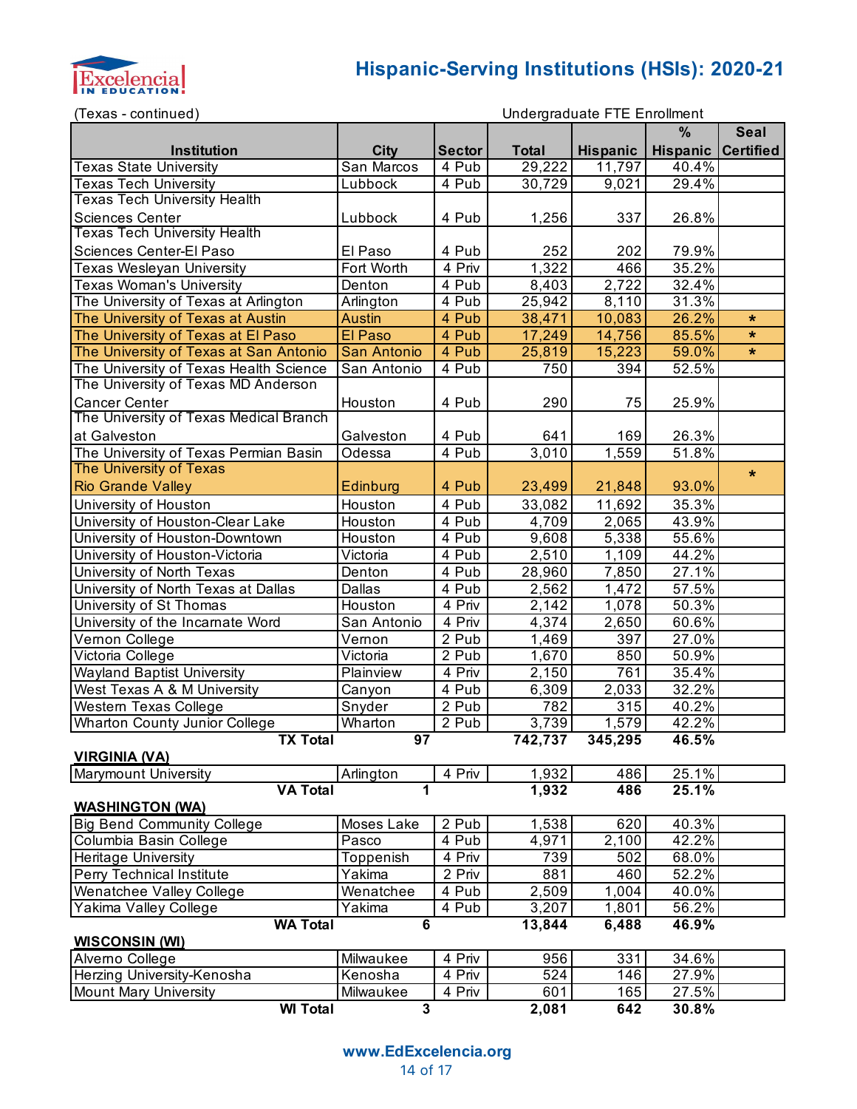

| (Texas - continued)                                              | Undergraduate FTE Enrollment         |               |              |                      |                           |             |
|------------------------------------------------------------------|--------------------------------------|---------------|--------------|----------------------|---------------------------|-------------|
|                                                                  |                                      |               |              |                      | %                         | <b>Seal</b> |
| <b>Institution</b>                                               | <b>City</b>                          | <b>Sector</b> | <b>Total</b> | <b>Hispanic</b>      | <b>Hispanic Certified</b> |             |
| <b>Texas State University</b>                                    | San Marcos                           | 4 Pub         | 29,222       | 11,797               | 40.4%                     |             |
| <b>Texas Tech University</b>                                     | Lubbock                              | 4 Pub         | 30,729       | 9,021                | 29.4%                     |             |
| <b>Texas Tech University Health</b>                              |                                      |               |              |                      |                           |             |
| <b>Sciences Center</b>                                           | Lubbock                              | 4 Pub         | 1,256        | 337                  | 26.8%                     |             |
| <b>Texas Tech University Health</b>                              |                                      |               |              |                      |                           |             |
| Sciences Center-El Paso                                          | El Paso                              | 4 Pub         | 252          | 202                  | 79.9%                     |             |
| <b>Texas Wesleyan University</b>                                 | Fort Worth                           | 4 Priv        | 1,322        | 466                  | 35.2%                     |             |
| <b>Texas Woman's University</b>                                  | Denton                               | 4 Pub         | 8,403        | 2,722                | 32.4%                     |             |
| The University of Texas at Arlington                             | Arlington                            | 4 Pub         | 25,942       | 8,110                | 31.3%                     |             |
| The University of Texas at Austin                                | <b>Austin</b>                        | 4 Pub         | 38,471       | 10,083               | 26.2%                     | $\star$     |
| The University of Texas at El Paso                               | El Paso                              | 4 Pub         | 17,249       | 14,756               | 85.5%                     | $\star$     |
| The University of Texas at San Antonio                           | San Antonio                          | 4 Pub         | 25,819       | 15,223               | 59.0%                     | $\star$     |
| The University of Texas Health Science                           | San Antonio                          | 4 Pub         | 750          | 394                  | 52.5%                     |             |
| The University of Texas MD Anderson                              |                                      |               |              |                      |                           |             |
| <b>Cancer Center</b>                                             | Houston                              | 4 Pub         | 290          | 75                   | 25.9%                     |             |
| The University of Texas Medical Branch                           |                                      |               |              |                      |                           |             |
| at Galveston                                                     | Galveston                            | 4 Pub         | 641          | 169                  | 26.3%                     |             |
| The University of Texas Permian Basin                            | Odessa                               | 4 Pub         | 3,010        | 1,559                | 51.8%                     |             |
| <b>The University of Texas</b>                                   |                                      |               |              |                      |                           |             |
| <b>Rio Grande Valley</b>                                         | Edinburg                             | 4 Pub         | 23,499       | 21,848               | 93.0%                     | $\star$     |
| University of Houston                                            | Houston                              | 4 Pub         | 33,082       | 11,692               | 35.3%                     |             |
| University of Houston-Clear Lake                                 | Houston                              | 4 Pub         | 4,709        | 2,065                | 43.9%                     |             |
|                                                                  | Houston                              | 4 Pub         |              | 5,338                | 55.6%                     |             |
| University of Houston-Downtown<br>University of Houston-Victoria | Victoria                             | 4 Pub         | 9,608        |                      | 44.2%                     |             |
|                                                                  |                                      | 4 Pub         | 2,510        | 1,109                | 27.1%                     |             |
| University of North Texas                                        | Denton                               |               | 28,960       | 7,850                |                           |             |
| University of North Texas at Dallas                              | Dallas                               | 4 Pub         | 2,562        | 1,472                | 57.5%                     |             |
| University of St Thomas                                          | Houston                              | 4 Priv        | 2,142        | 1,078                | 50.3%                     |             |
| University of the Incarnate Word                                 | San Antonio                          | 4 Priv        | 4,374        | 2,650                | 60.6%                     |             |
| Vernon College                                                   | Vernon                               | 2 Pub         | 1,469        | 397                  | 27.0%                     |             |
| Victoria College                                                 | Victoria                             | 2 Pub         | 1,670        | 850                  | 50.9%                     |             |
| <b>Wayland Baptist University</b>                                | Plainview                            | 4 Priv        | 2,150        | 761                  | 35.4%                     |             |
| West Texas A & M University                                      | Canyon                               | 4 Pub         | 6,309        | 2,033                | 32.2%                     |             |
| Western Texas College                                            | Snyder                               | 2 Pub         | 782          | 315                  | 40.2%                     |             |
| Wharton County Junior College                                    | Wharton                              | 2 Pub         | 3,739        | 1,579                | 42.2%                     |             |
| <b>TX Total</b>                                                  | 97                                   |               | 742,737      | 345,295              | 46.5%                     |             |
| <b>VIRGINIA (VA)</b>                                             |                                      |               | 1,932        |                      |                           |             |
| <b>Marymount University</b><br><b>VA Total</b>                   | Arlington<br>1                       | 4 Priv        | 1,932        | 486<br>486           | 25.1%<br>25.1%            |             |
|                                                                  |                                      |               |              |                      |                           |             |
| <b>WASHINGTON (WA)</b><br><b>Big Bend Community College</b>      |                                      |               |              |                      |                           |             |
|                                                                  | Moses Lake                           | 2 Pub         | 1,538        | 620                  | 40.3%                     |             |
| Columbia Basin College                                           | Pasco                                | 4 Pub         | 4,971        | $\overline{2}$ , 100 | 42.2%                     |             |
| Heritage University                                              | Toppenish                            | 4 Priv        | 739          | 502                  | 68.0%                     |             |
| Perry Technical Institute                                        | Yakima                               | 2 Priv        | 881          | 460                  | 52.2%                     |             |
| Wenatchee Valley College                                         | Wenatchee                            | 4 Pub         | 2,509        | 1,004                | 40.0%                     |             |
| Yakima Valley College                                            | Yakima                               | 4 Pub         | 3,207        | 1,801                | 56.2%                     |             |
| <b>WA Total</b>                                                  | $6\phantom{1}$                       |               | 13,844       | 6,488                | 46.9%                     |             |
| <b>WISCONSIN (WI)</b>                                            |                                      |               |              |                      |                           |             |
| Alverno College                                                  | Milwaukee                            | 4 Priv        | 956          | 331                  | 34.6%                     |             |
| Herzing University-Kenosha                                       | Kenosha                              | 4 Priv        | 524          | 146                  | 27.9%                     |             |
| <b>Mount Mary University</b><br><b>WI</b> Total                  | Milwaukee<br>$\overline{\mathbf{3}}$ | 4 Priv        | 601<br>2,081 | 165<br>642           | 27.5%<br>30.8%            |             |
|                                                                  |                                      |               |              |                      |                           |             |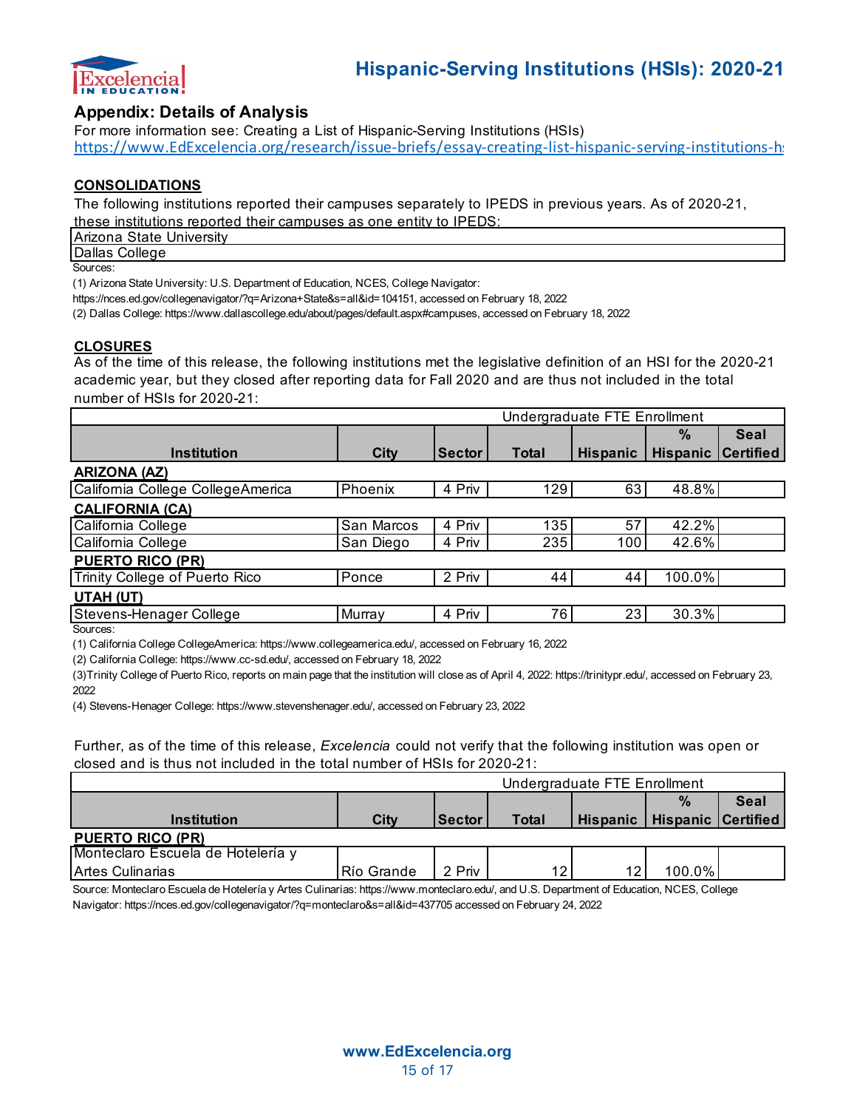

### **Appendix: Details of Analysis**

For more information see: Creating a List of Hispanic-Serving Institutions (HSIs) https://www.EdExcelencia.org/research/issue-briefs/essay-creating-list-hispanic-serving-institutions-h:

#### **CONSOLIDATIONS**

The following institutions reported their campuses separately to IPEDS in previous years. As of 2020-21, these institutions reported their campuses as one entity to IPEDS:

**Arizona State University** 

Dallas College

Sources:

(1) Arizona State University: U.S. Department of Education, NCES, College Navigator:

https://nces.ed.gov/collegenavigator/?q=Arizona+State&s=all&id=104151, accessed on February 18, 2022

(2) Dallas College: https://www.dallascollege.edu/about/pages/default.aspx#campuses, accessed on February 18, 2022

#### **CLOSURES**

As of the time of this release, the following institutions met the legislative definition of an HSI for the 2020-21 academic year, but they closed after reporting data for Fall 2020 and are thus not included in the total number of HSIs for 2020-21:

|                                   | Undergraduate FTE Enrollment |               |              |                 |                 |                  |
|-----------------------------------|------------------------------|---------------|--------------|-----------------|-----------------|------------------|
|                                   |                              |               |              |                 | $\%$            | <b>Seal</b>      |
| <b>Institution</b>                | <b>City</b>                  | <b>Sector</b> | <b>Total</b> | <b>Hispanic</b> | <b>Hispanic</b> | <b>Certified</b> |
| <b>ARIZONA (AZ)</b>               |                              |               |              |                 |                 |                  |
| California College CollegeAmerica | Phoenix                      | 4 Priv        | 129          | 63              | 48.8%           |                  |
| <b>CALIFORNIA (CA)</b>            |                              |               |              |                 |                 |                  |
| California College                | San Marcos                   | 4 Priv        | 135          | 57              | 42.2%           |                  |
| California College                | San Diego                    | 4 Priv        | 235          | 100             | 42.6%           |                  |
| <b>PUERTO RICO (PR)</b>           |                              |               |              |                 |                 |                  |
| Trinity College of Puerto Rico    | Ponce                        | 2 Priv        | 44           | 44              | 100.0%          |                  |
| UTAH (UT)                         |                              |               |              |                 |                 |                  |
| Stevens-Henager College           | Murray                       | 4 Priv        | 76           | 23              | 30.3%           |                  |
| C <sub>Q</sub>                    |                              |               |              |                 |                 |                  |

Sources:

(1) California College CollegeAmerica: https://www.collegeamerica.edu/, accessed on February 16, 2022

(2) California College: https://www.cc-sd.edu/, accessed on February 18, 2022

(3)Trinity College of Puerto Rico, reports on main page that the institution will close as of April 4, 2022: https://trinitypr.edu/, accessed on February 23, 2022

(4) Stevens-Henager College: https://www.stevenshenager.edu/, accessed on February 23, 2022

Further, as of the time of this release, *Excelencia* could not verify that the following institution was open or closed and is thus not included in the total number of HSIs for 2020-21:

|                                   | Undergraduate FTE Enrollment |               |       |  |                                 |             |  |  |
|-----------------------------------|------------------------------|---------------|-------|--|---------------------------------|-------------|--|--|
|                                   |                              |               |       |  | $\frac{9}{6}$                   | <b>Seal</b> |  |  |
| <b>Institution</b>                | City                         | <b>Sector</b> | Total |  | Hispanic   Hispanic   Certified |             |  |  |
| <b>PUERTO RICO (PR)</b>           |                              |               |       |  |                                 |             |  |  |
| Monteclaro Escuela de Hotelería y |                              |               |       |  |                                 |             |  |  |
| <b>Artes Culinarias</b>           | Río Grande                   | 2 Priv        | 12    |  | 100.0%                          |             |  |  |

Source: Monteclaro Escuela de Hotelería y Artes Culinarias: https://www.monteclaro.edu/, and U.S. Department of Education, NCES, College Navigator: https://nces.ed.gov/collegenavigator/?q=monteclaro&s=all&id=437705 accessed on February 24, 2022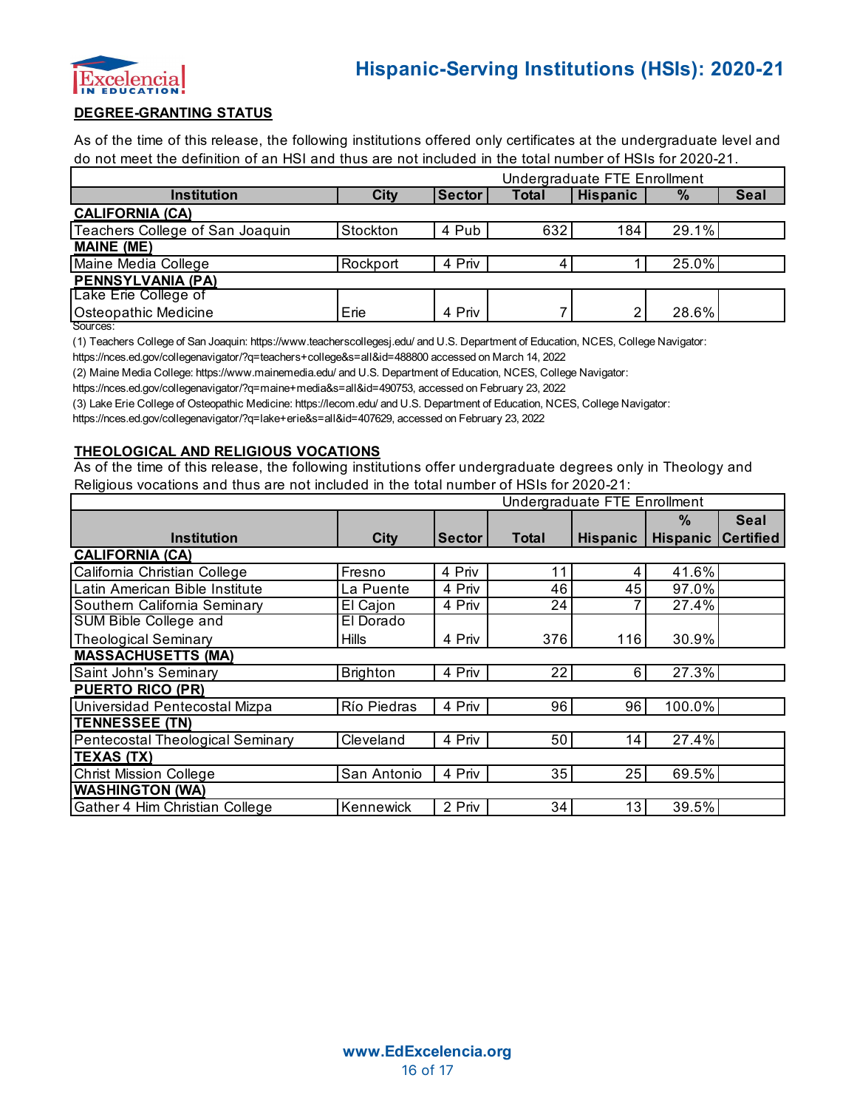

#### **DEGREE-GRANTING STATUS**

As of the time of this release, the following institutions offered only certificates at the undergraduate level and do not meet the definition of an HSI and thus are not included in the total number of HSIs for 2020-21.

|                                 | Undergraduate FTE Enrollment |               |              |                 |       |             |
|---------------------------------|------------------------------|---------------|--------------|-----------------|-------|-------------|
| <b>Institution</b>              | City                         | <b>Sector</b> | <b>Total</b> | <b>Hispanic</b> | $\%$  | <b>Seal</b> |
| <b>CALIFORNIA (CA)</b>          |                              |               |              |                 |       |             |
| Teachers College of San Joaquin | Stockton                     | 4 Pub         | 632          | 184             | 29.1% |             |
| <b>MAINE (ME)</b>               |                              |               |              |                 |       |             |
| Maine Media College             | Rockport                     | 4 Priv        |              |                 | 25.0% |             |
| <b>PENNSYLVANIA (PA)</b>        |                              |               |              |                 |       |             |
| Lake Erie College of            |                              |               |              |                 |       |             |
| <b>Osteopathic Medicine</b>     | Erie                         | 4 Priv        |              |                 | 28.6% |             |

Sources:

(1) Teachers College of San Joaquin: https://www.teacherscollegesj.edu/ and U.S. Department of Education, NCES, College Navigator:

https://nces.ed.gov/collegenavigator/?q=teachers+college&s=all&id=488800 accessed on March 14, 2022

(2) Maine Media College: https://www.mainemedia.edu/ and U.S. Department of Education, NCES, College Navigator:

https://nces.ed.gov/collegenavigator/?q=maine+media&s=all&id=490753, accessed on February 23, 2022

(3) Lake Erie College of Osteopathic Medicine: https://lecom.edu/ and U.S. Department of Education, NCES, College Navigator:

https://nces.ed.gov/collegenavigator/?q=lake+erie&s=all&id=407629, accessed on February 23, 2022

#### **THEOLOGICAL AND RELIGIOUS VOCATIONS**

As of the time of this release, the following institutions offer undergraduate degrees only in Theology and Religious vocations and thus are not included in the total number of HSIs for 2020-21:

|                                  | Undergraduate FTE Enrollment |               |              |                 |                           |             |  |
|----------------------------------|------------------------------|---------------|--------------|-----------------|---------------------------|-------------|--|
|                                  |                              |               |              |                 | $\%$                      | <b>Seal</b> |  |
| <b>Institution</b>               | <b>City</b>                  | <b>Sector</b> | <b>Total</b> | <b>Hispanic</b> | <b>Hispanic Certified</b> |             |  |
| <b>CALIFORNIA (CA)</b>           |                              |               |              |                 |                           |             |  |
| California Christian College     | Fresno                       | 4 Priv        | 11           | 4               | 41.6%                     |             |  |
| Latin American Bible Institute   | La Puente                    | 4 Priv        | 46           | 45              | 97.0%                     |             |  |
| Southern California Seminary     | El Cajon                     | 4 Priv        | 24           |                 | 27.4%                     |             |  |
| <b>SUM Bible College and</b>     | El Dorado                    |               |              |                 |                           |             |  |
| <b>Theological Seminary</b>      | <b>Hills</b>                 | 4 Priv        | 376          | 116             | 30.9%                     |             |  |
| <b>MASSACHUSETTS (MA)</b>        |                              |               |              |                 |                           |             |  |
| Saint John's Seminary            | <b>Brighton</b>              | 4 Priv        | 22           | 6               | 27.3%                     |             |  |
| <b>PUERTO RICO (PR)</b>          |                              |               |              |                 |                           |             |  |
| Universidad Pentecostal Mizpa    | Río Piedras                  | 4 Priv        | 96           | 96              | 100.0%                    |             |  |
| <b>TENNESSEE (TN)</b>            |                              |               |              |                 |                           |             |  |
| Pentecostal Theological Seminary | Cleveland                    | 4 Priv        | 50           | 14              | 27.4%                     |             |  |
| <b>TEXAS (TX)</b>                |                              |               |              |                 |                           |             |  |
| <b>Christ Mission College</b>    | San Antonio                  | 4 Priv        | 35           | 25              | 69.5%                     |             |  |
| <b>WASHINGTON (WA)</b>           |                              |               |              |                 |                           |             |  |
| Gather 4 Him Christian College   | Kennewick                    | 2 Priv        | 34           | 13              | 39.5%                     |             |  |